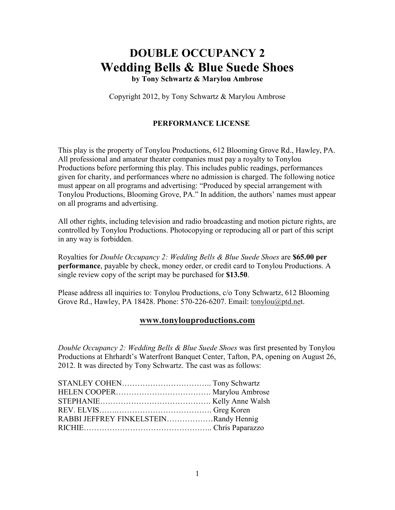# **DOUBLE OCCUPANCY 2 Wedding Bells & Blue Suede Shoes**

**by Tony Schwartz & Marylou Ambrose** 

Copyright 2012, by Tony Schwartz & Marylou Ambrose

#### **PERFORMANCE LICENSE**

This play is the property of Tonylou Productions, 612 Blooming Grove Rd., Hawley, PA. All professional and amateur theater companies must pay a royalty to Tonylou Productions before performing this play. This includes public readings, performances given for charity, and performances where no admission is charged. The following notice must appear on all programs and advertising: "Produced by special arrangement with Tonylou Productions, Blooming Grove, PA." In addition, the authors' names must appear on all programs and advertising.

All other rights, including television and radio broadcasting and motion picture rights, are controlled by Tonylou Productions. Photocopying or reproducing all or part of this script in any way is forbidden.

Royalties for *Double Occupancy 2: Wedding Bells & Blue Suede Shoes* are **\$65.00 per performance**, payable by check, money order, or credit card to Tonylou Productions. A single review copy of the script may be purchased for **\$13.50**.

Please address all inquiries to: Tonylou Productions, c/o Tony Schwartz, 612 Blooming Grove Rd., Hawley, PA 18428. Phone: 570-226-6207. Email: tonylou@ptd.net.

#### **www.tonylouproductions.com**

*Double Occupancy 2: Wedding Bells & Blue Suede Shoes* was first presented by Tonylou Productions at Ehrhardt's Waterfront Banquet Center, Tafton, PA, opening on August 26, 2012. It was directed by Tony Schwartz. The cast was as follows:

| RABBI JEFFREY FINKELSTEINRandy Hennig |  |
|---------------------------------------|--|
|                                       |  |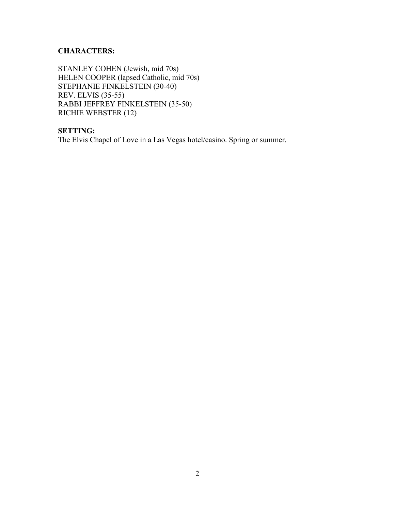### **CHARACTERS:**

STANLEY COHEN (Jewish, mid 70s) HELEN COOPER (lapsed Catholic, mid 70s) STEPHANIE FINKELSTEIN (30-40) REV. ELVIS (35-55) RABBI JEFFREY FINKELSTEIN (35-50) RICHIE WEBSTER (12)

## **SETTING:**

The Elvis Chapel of Love in a Las Vegas hotel/casino. Spring or summer.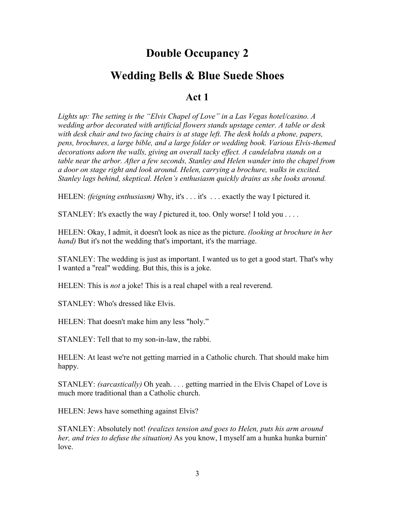## **Double Occupancy 2**

## **Wedding Bells & Blue Suede Shoes**

## **Act 1**

*Lights up: The setting is the "Elvis Chapel of Love" in a Las Vegas hotel/casino. A wedding arbor decorated with artificial flowers stands upstage center. A table or desk with desk chair and two facing chairs is at stage left. The desk holds a phone, papers, pens, brochures, a large bible, and a large folder or wedding book. Various Elvis-themed decorations adorn the walls, giving an overall tacky effect. A candelabra stands on a table near the arbor. After a few seconds, Stanley and Helen wander into the chapel from a door on stage right and look around. Helen, carrying a brochure, walks in excited. Stanley lags behind, skeptical. Helen's enthusiasm quickly drains as she looks around.* 

HELEN: *(feigning enthusiasm)* Why, it's . . . it's . . . exactly the way I pictured it.

STANLEY: It's exactly the way *I* pictured it, too. Only worse! I told you . . . .

HELEN: Okay, I admit, it doesn't look as nice as the picture. *(looking at brochure in her hand*) But it's not the wedding that's important, it's the marriage.

STANLEY: The wedding is just as important. I wanted us to get a good start. That's why I wanted a "real" wedding. But this, this is a joke.

HELEN: This is *not* a joke! This is a real chapel with a real reverend.

STANLEY: Who's dressed like Elvis.

HELEN: That doesn't make him any less "holy."

STANLEY: Tell that to my son-in-law, the rabbi.

HELEN: At least we're not getting married in a Catholic church. That should make him happy.

STANLEY: *(sarcastically)* Oh yeah. . . . getting married in the Elvis Chapel of Love is much more traditional than a Catholic church.

HELEN: Jews have something against Elvis?

STANLEY: Absolutely not! *(realizes tension and goes to Helen, puts his arm around her, and tries to defuse the situation)* As you know, I myself am a hunka hunka burnin' love.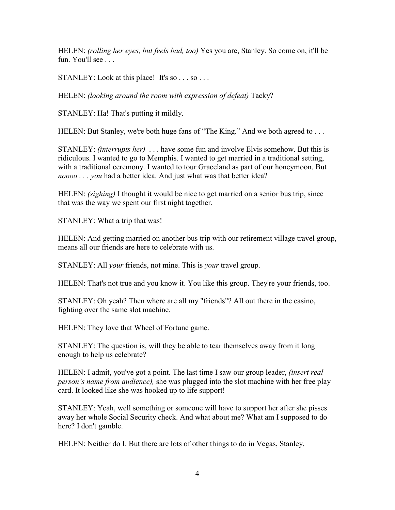HELEN: *(rolling her eyes, but feels bad, too)* Yes you are, Stanley. So come on, it'll be fun. You'll see

 $STANLEY: Look at this place! It's so ... so ...$ 

HELEN: *(looking around the room with expression of defeat)* Tacky?

STANLEY: Ha! That's putting it mildly.

HELEN: But Stanley, we're both huge fans of "The King." And we both agreed to ...

STANLEY: *(interrupts her)* . . . have some fun and involve Elvis somehow. But this is ridiculous. I wanted to go to Memphis. I wanted to get married in a traditional setting, with a traditional ceremony. I wanted to tour Graceland as part of our honeymoon. But *noooo . . . you* had a better idea. And just what was that better idea?

HELEN: *(sighing)* I thought it would be nice to get married on a senior bus trip, since that was the way we spent our first night together.

STANLEY: What a trip that was!

HELEN: And getting married on another bus trip with our retirement village travel group, means all our friends are here to celebrate with us.

STANLEY: All *your* friends, not mine. This is *your* travel group.

HELEN: That's not true and you know it. You like this group. They're your friends, too.

STANLEY: Oh yeah? Then where are all my "friends"? All out there in the casino, fighting over the same slot machine.

HELEN: They love that Wheel of Fortune game.

STANLEY: The question is, will they be able to tear themselves away from it long enough to help us celebrate?

HELEN: I admit, you've got a point. The last time I saw our group leader, *(insert real person's name from audience),* she was plugged into the slot machine with her free play card. It looked like she was hooked up to life support!

STANLEY: Yeah, well something or someone will have to support her after she pisses away her whole Social Security check. And what about me? What am I supposed to do here? I don't gamble.

HELEN: Neither do I. But there are lots of other things to do in Vegas, Stanley.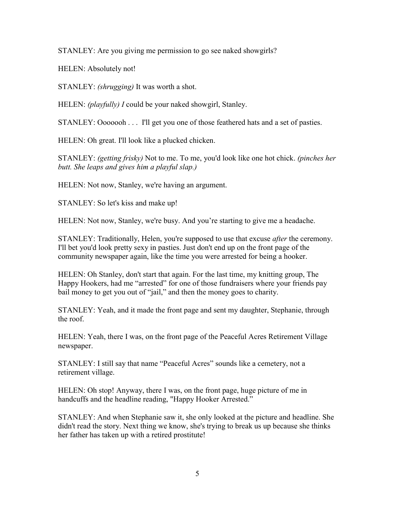STANLEY: Are you giving me permission to go see naked showgirls?

HELEN: Absolutely not!

STANLEY: *(shrugging)* It was worth a shot.

HELEN: *(playfully) I* could be your naked showgirl, Stanley.

STANLEY: Ooooooh . . . I'll get you one of those feathered hats and a set of pasties.

HELEN: Oh great. I'll look like a plucked chicken.

STANLEY: *(getting frisky)* Not to me. To me, you'd look like one hot chick. *(pinches her butt. She leaps and gives him a playful slap.)* 

HELEN: Not now, Stanley, we're having an argument.

STANLEY: So let's kiss and make up!

HELEN: Not now, Stanley, we're busy. And you're starting to give me a headache.

STANLEY: Traditionally, Helen, you're supposed to use that excuse *after* the ceremony. I'll bet you'd look pretty sexy in pasties. Just don't end up on the front page of the community newspaper again, like the time you were arrested for being a hooker.

HELEN: Oh Stanley, don't start that again. For the last time, my knitting group, The Happy Hookers, had me "arrested" for one of those fundraisers where your friends pay bail money to get you out of "jail," and then the money goes to charity.

STANLEY: Yeah, and it made the front page and sent my daughter, Stephanie, through the roof.

HELEN: Yeah, there I was, on the front page of the Peaceful Acres Retirement Village newspaper.

STANLEY: I still say that name "Peaceful Acres" sounds like a cemetery, not a retirement village.

HELEN: Oh stop! Anyway, there I was, on the front page, huge picture of me in handcuffs and the headline reading, "Happy Hooker Arrested."

STANLEY: And when Stephanie saw it, she only looked at the picture and headline. She didn't read the story. Next thing we know, she's trying to break us up because she thinks her father has taken up with a retired prostitute!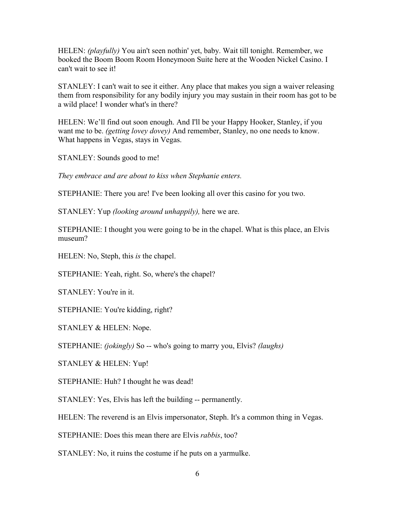HELEN: *(playfully)* You ain't seen nothin' yet, baby. Wait till tonight. Remember, we booked the Boom Boom Room Honeymoon Suite here at the Wooden Nickel Casino. I can't wait to see it!

STANLEY: I can't wait to see it either. Any place that makes you sign a waiver releasing them from responsibility for any bodily injury you may sustain in their room has got to be a wild place! I wonder what's in there?

HELEN: We'll find out soon enough. And I'll be your Happy Hooker, Stanley, if you want me to be. *(getting lovey dovey)* And remember, Stanley, no one needs to know. What happens in Vegas, stays in Vegas.

STANLEY: Sounds good to me!

*They embrace and are about to kiss when Stephanie enters.* 

STEPHANIE: There you are! I've been looking all over this casino for you two.

STANLEY: Yup *(looking around unhappily),* here we are.

STEPHANIE: I thought you were going to be in the chapel. What is this place, an Elvis museum?

HELEN: No, Steph, this *is* the chapel.

STEPHANIE: Yeah, right. So, where's the chapel?

STANLEY: You're in it.

STEPHANIE: You're kidding, right?

STANLEY & HELEN: Nope.

STEPHANIE: *(jokingly)* So -- who's going to marry you, Elvis? *(laughs)*

STANLEY & HELEN: Yup!

STEPHANIE: Huh? I thought he was dead!

STANLEY: Yes, Elvis has left the building -- permanently.

HELEN: The reverend is an Elvis impersonator, Steph. It's a common thing in Vegas.

STEPHANIE: Does this mean there are Elvis *rabbis*, too?

STANLEY: No, it ruins the costume if he puts on a yarmulke.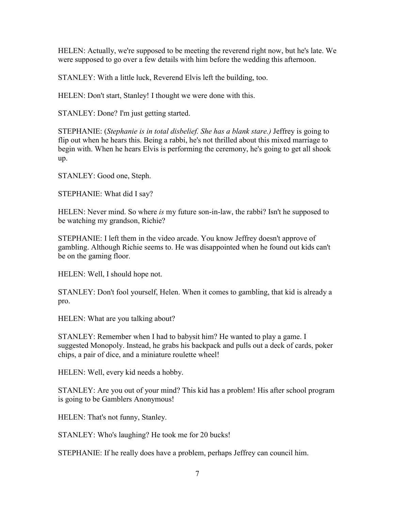HELEN: Actually, we're supposed to be meeting the reverend right now, but he's late. We were supposed to go over a few details with him before the wedding this afternoon.

STANLEY: With a little luck, Reverend Elvis left the building, too.

HELEN: Don't start, Stanley! I thought we were done with this.

STANLEY: Done? I'm just getting started.

STEPHANIE: (*Stephanie is in total disbelief. She has a blank stare.)* Jeffrey is going to flip out when he hears this. Being a rabbi, he's not thrilled about this mixed marriage to begin with. When he hears Elvis is performing the ceremony, he's going to get all shook up.

STANLEY: Good one, Steph.

STEPHANIE: What did I say?

HELEN: Never mind. So where *is* my future son-in-law, the rabbi? Isn't he supposed to be watching my grandson, Richie?

STEPHANIE: I left them in the video arcade. You know Jeffrey doesn't approve of gambling. Although Richie seems to. He was disappointed when he found out kids can't be on the gaming floor.

HELEN: Well, I should hope not.

STANLEY: Don't fool yourself, Helen. When it comes to gambling, that kid is already a pro.

HELEN: What are you talking about?

STANLEY: Remember when I had to babysit him? He wanted to play a game. I suggested Monopoly. Instead, he grabs his backpack and pulls out a deck of cards, poker chips, a pair of dice, and a miniature roulette wheel!

HELEN: Well, every kid needs a hobby.

STANLEY: Are you out of your mind? This kid has a problem! His after school program is going to be Gamblers Anonymous!

HELEN: That's not funny, Stanley.

STANLEY: Who's laughing? He took me for 20 bucks!

STEPHANIE: If he really does have a problem, perhaps Jeffrey can council him.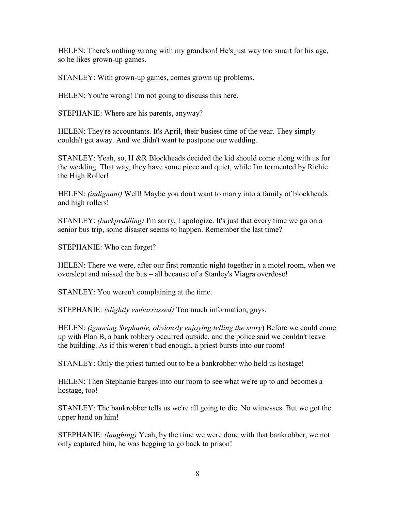HELEN: There's nothing wrong with my grandson! He's just way too smart for his age, so he likes grown-up games.

STANLEY: With grown-up games, comes grown up problems.

HELEN: You're wrong! I'm not going to discuss this here.

STEPHANIE: Where are his parents, anyway?

HELEN: They're accountants. It's April, their busiest time of the year. They simply couldn't get away. And we didn't want to postpone our wedding.

STANLEY: Yeah, so, H &R Blockheads decided the kid should come along with us for the wedding. That way, they have some piece and quiet, while I'm tormented by Richie the High Roller!

HELEN: *(indignant)* Well! Maybe you don't want to marry into a family of blockheads and high rollers!

STANLEY: *(backpeddling)* I'm sorry, I apologize. It's just that every time we go on a senior bus trip, some disaster seems to happen. Remember the last time?

STEPHANIE: Who can forget?

HELEN: There we were, after our first romantic night together in a motel room, when we overslept and missed the bus – all because of a Stanley's Viagra overdose!

STANLEY: You weren't complaining at the time.

STEPHANIE: *(slightly embarrassed)* Too much information, guys.

HELEN: *(ignoring Stephanie, obviously enjoying telling the story*) Before we could come up with Plan B, a bank robbery occurred outside, and the police said we couldn't leave the building. As if this weren't bad enough, a priest bursts into our room!

STANLEY: Only the priest turned out to be a bankrobber who held us hostage!

HELEN: Then Stephanie barges into our room to see what we're up to and becomes a hostage, too!

STANLEY: The bankrobber tells us we're all going to die. No witnesses. But we got the upper hand on him!

STEPHANIE: *(laughing)* Yeah, by the time we were done with that bankrobber, we not only captured him, he was begging to go back to prison!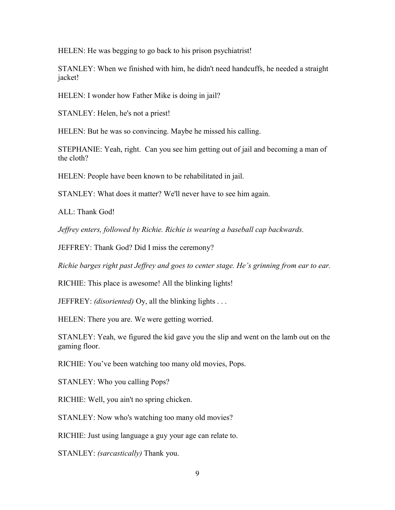HELEN: He was begging to go back to his prison psychiatrist!

STANLEY: When we finished with him, he didn't need handcuffs, he needed a straight jacket!

HELEN: I wonder how Father Mike is doing in jail?

STANLEY: Helen, he's not a priest!

HELEN: But he was so convincing. Maybe he missed his calling.

STEPHANIE: Yeah, right. Can you see him getting out of jail and becoming a man of the cloth?

HELEN: People have been known to be rehabilitated in jail.

STANLEY: What does it matter? We'll never have to see him again.

ALL: Thank God!

*Jeffrey enters, followed by Richie. Richie is wearing a baseball cap backwards.* 

JEFFREY: Thank God? Did I miss the ceremony?

*Richie barges right past Jeffrey and goes to center stage. He's grinning from ear to ear.* 

RICHIE: This place is awesome! All the blinking lights!

JEFFREY: *(disoriented)* Oy, all the blinking lights . . .

HELEN: There you are. We were getting worried.

STANLEY: Yeah, we figured the kid gave you the slip and went on the lamb out on the gaming floor.

RICHIE: You've been watching too many old movies, Pops.

STANLEY: Who you calling Pops?

RICHIE: Well, you ain't no spring chicken.

STANLEY: Now who's watching too many old movies?

RICHIE: Just using language a guy your age can relate to.

STANLEY: *(sarcastically)* Thank you.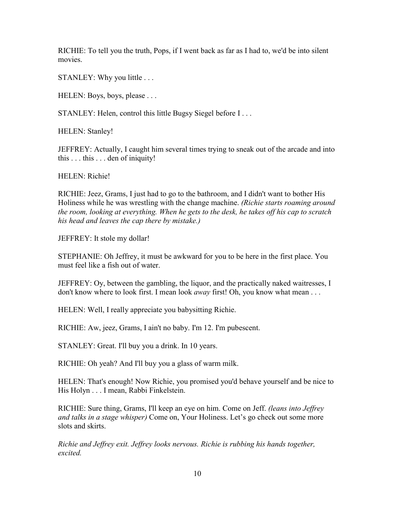RICHIE: To tell you the truth, Pops, if I went back as far as I had to, we'd be into silent movies.

STANLEY: Why you little . . .

HELEN: Boys, boys, please . . .

STANLEY: Helen, control this little Bugsy Siegel before I . . .

HELEN: Stanley!

JEFFREY: Actually, I caught him several times trying to sneak out of the arcade and into this . . . this . . . den of iniquity!

HELEN: Richie!

RICHIE: Jeez, Grams, I just had to go to the bathroom, and I didn't want to bother His Holiness while he was wrestling with the change machine. *(Richie starts roaming around the room, looking at everything. When he gets to the desk, he takes off his cap to scratch his head and leaves the cap there by mistake.)* 

JEFFREY: It stole my dollar!

STEPHANIE: Oh Jeffrey, it must be awkward for you to be here in the first place. You must feel like a fish out of water.

JEFFREY: Oy, between the gambling, the liquor, and the practically naked waitresses, I don't know where to look first. I mean look *away* first! Oh, you know what mean . . .

HELEN: Well, I really appreciate you babysitting Richie.

RICHIE: Aw, jeez, Grams, I ain't no baby. I'm 12. I'm pubescent.

STANLEY: Great. I'll buy you a drink. In 10 years.

RICHIE: Oh yeah? And I'll buy you a glass of warm milk.

HELEN: That's enough! Now Richie, you promised you'd behave yourself and be nice to His Holyn . . . I mean, Rabbi Finkelstein.

RICHIE: Sure thing, Grams, I'll keep an eye on him. Come on Jeff. *(leans into Jeffrey and talks in a stage whisper)* Come on, Your Holiness. Let's go check out some more slots and skirts.

*Richie and Jeffrey exit. Jeffrey looks nervous. Richie is rubbing his hands together, excited.*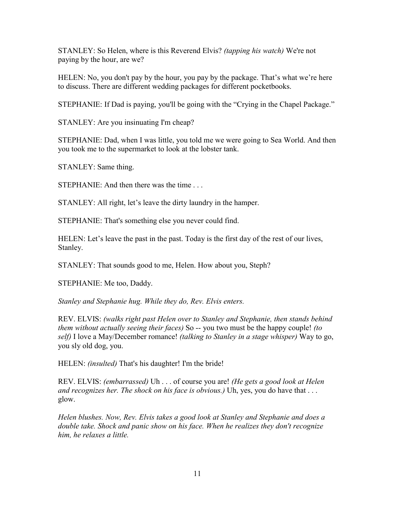STANLEY: So Helen, where is this Reverend Elvis? *(tapping his watch)* We're not paying by the hour, are we?

HELEN: No, you don't pay by the hour, you pay by the package. That's what we're here to discuss. There are different wedding packages for different pocketbooks.

STEPHANIE: If Dad is paying, you'll be going with the "Crying in the Chapel Package."

STANLEY: Are you insinuating I'm cheap?

STEPHANIE: Dad, when I was little, you told me we were going to Sea World. And then you took me to the supermarket to look at the lobster tank.

STANLEY: Same thing.

STEPHANIE: And then there was the time . . .

STANLEY: All right, let's leave the dirty laundry in the hamper.

STEPHANIE: That's something else you never could find.

HELEN: Let's leave the past in the past. Today is the first day of the rest of our lives, Stanley.

STANLEY: That sounds good to me, Helen. How about you, Steph?

STEPHANIE: Me too, Daddy.

*Stanley and Stephanie hug. While they do, Rev. Elvis enters.* 

REV. ELVIS: *(walks right past Helen over to Stanley and Stephanie, then stands behind them without actually seeing their faces)* So -- you two must be the happy couple! *(to self)* I love a May/December romance! *(talking to Stanley in a stage whisper)* Way to go, you sly old dog, you.

HELEN: *(insulted)* That's his daughter! I'm the bride!

REV. ELVIS: *(embarrassed)* Uh . . . of course you are! *(He gets a good look at Helen and recognizes her. The shock on his face is obvious.*) Uh, yes, you do have that ... glow.

*Helen blushes. Now, Rev. Elvis takes a good look at Stanley and Stephanie and does a double take. Shock and panic show on his face. When he realizes they don't recognize him, he relaxes a little.*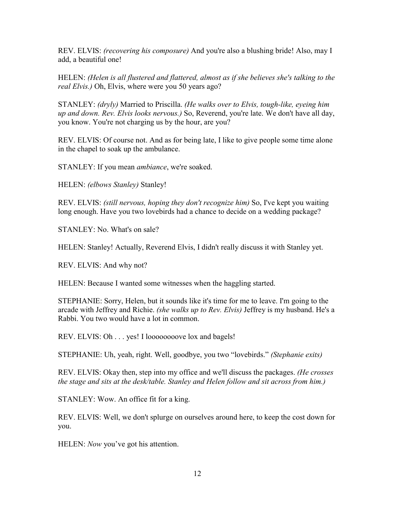REV. ELVIS: *(recovering his composure)* And you're also a blushing bride! Also, may I add, a beautiful one!

HELEN: *(Helen is all flustered and flattered, almost as if she believes she's talking to the real Elvis.)* Oh, Elvis, where were you 50 years ago?

STANLEY: *(dryly)* Married to Priscilla. *(He walks over to Elvis, tough-like, eyeing him up and down. Rev. Elvis looks nervous.)* So, Reverend, you're late. We don't have all day, you know. You're not charging us by the hour, are you?

REV. ELVIS: Of course not. And as for being late, I like to give people some time alone in the chapel to soak up the ambulance.

STANLEY: If you mean *ambiance*, we're soaked.

HELEN: *(elbows Stanley)* Stanley!

REV. ELVIS: *(still nervous, hoping they don't recognize him)* So, I've kept you waiting long enough. Have you two lovebirds had a chance to decide on a wedding package?

STANLEY: No. What's on sale?

HELEN: Stanley! Actually, Reverend Elvis, I didn't really discuss it with Stanley yet.

REV. ELVIS: And why not?

HELEN: Because I wanted some witnesses when the haggling started.

STEPHANIE: Sorry, Helen, but it sounds like it's time for me to leave. I'm going to the arcade with Jeffrey and Richie. *(she walks up to Rev. Elvis)* Jeffrey is my husband. He's a Rabbi. You two would have a lot in common.

REV. ELVIS: Oh . . . yes! I loooooooove lox and bagels!

STEPHANIE: Uh, yeah, right. Well, goodbye, you two "lovebirds." *(Stephanie exits)*

REV. ELVIS: Okay then, step into my office and we'll discuss the packages. *(He crosses the stage and sits at the desk/table. Stanley and Helen follow and sit across from him.)* 

STANLEY: Wow. An office fit for a king.

REV. ELVIS: Well, we don't splurge on ourselves around here, to keep the cost down for you.

HELEN: *Now* you've got his attention.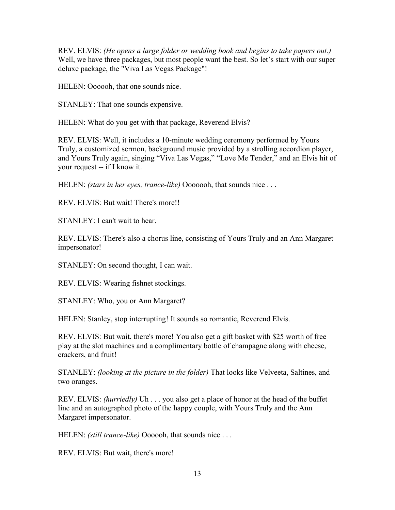REV. ELVIS: *(He opens a large folder or wedding book and begins to take papers out.)*  Well, we have three packages, but most people want the best. So let's start with our super deluxe package, the "Viva Las Vegas Package"!

HELEN: Oooooh, that one sounds nice.

STANLEY: That one sounds expensive.

HELEN: What do you get with that package, Reverend Elvis?

REV. ELVIS: Well, it includes a 10-minute wedding ceremony performed by Yours Truly, a customized sermon, background music provided by a strolling accordion player, and Yours Truly again, singing "Viva Las Vegas," "Love Me Tender," and an Elvis hit of your request -- if I know it.

HELEN: *(stars in her eyes, trance-like)* Ooooooh, that sounds nice . . .

REV. ELVIS: But wait! There's more!!

STANLEY: I can't wait to hear.

REV. ELVIS: There's also a chorus line, consisting of Yours Truly and an Ann Margaret impersonator!

STANLEY: On second thought, I can wait.

REV. ELVIS: Wearing fishnet stockings.

STANLEY: Who, you or Ann Margaret?

HELEN: Stanley, stop interrupting! It sounds so romantic, Reverend Elvis.

REV. ELVIS: But wait, there's more! You also get a gift basket with \$25 worth of free play at the slot machines and a complimentary bottle of champagne along with cheese, crackers, and fruit!

STANLEY: *(looking at the picture in the folder)* That looks like Velveeta, Saltines, and two oranges.

REV. ELVIS: *(hurriedly)* Uh . . . you also get a place of honor at the head of the buffet line and an autographed photo of the happy couple, with Yours Truly and the Ann Margaret impersonator.

HELEN: *(still trance-like)* Oooooh, that sounds nice . . .

REV. ELVIS: But wait, there's more!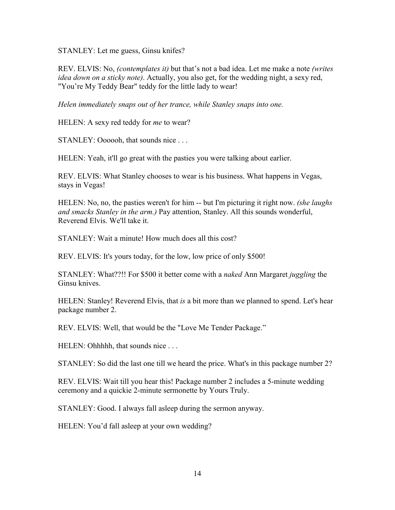STANLEY: Let me guess, Ginsu knifes?

REV. ELVIS: No, *(contemplates it)* but that's not a bad idea. Let me make a note *(writes idea down on a sticky note)*. Actually, you also get, for the wedding night, a sexy red, "You're My Teddy Bear" teddy for the little lady to wear!

*Helen immediately snaps out of her trance, while Stanley snaps into one.* 

HELEN: A sexy red teddy for *me* to wear?

STANLEY: Oooooh, that sounds nice ...

HELEN: Yeah, it'll go great with the pasties you were talking about earlier.

REV. ELVIS: What Stanley chooses to wear is his business. What happens in Vegas, stays in Vegas!

HELEN: No, no, the pasties weren't for him -- but I'm picturing it right now. *(she laughs and smacks Stanley in the arm.)* Pay attention, Stanley. All this sounds wonderful, Reverend Elvis. We'll take it.

STANLEY: Wait a minute! How much does all this cost?

REV. ELVIS: It's yours today, for the low, low price of only \$500!

STANLEY: What??!! For \$500 it better come with a *naked* Ann Margaret *juggling* the Ginsu knives.

HELEN: Stanley! Reverend Elvis, that *is* a bit more than we planned to spend. Let's hear package number 2.

REV. ELVIS: Well, that would be the "Love Me Tender Package."

HELEN: Ohhhhh, that sounds nice ...

STANLEY: So did the last one till we heard the price. What's in this package number 2?

REV. ELVIS: Wait till you hear this! Package number 2 includes a 5-minute wedding ceremony and a quickie 2-minute sermonette by Yours Truly.

STANLEY: Good. I always fall asleep during the sermon anyway.

HELEN: You'd fall asleep at your own wedding?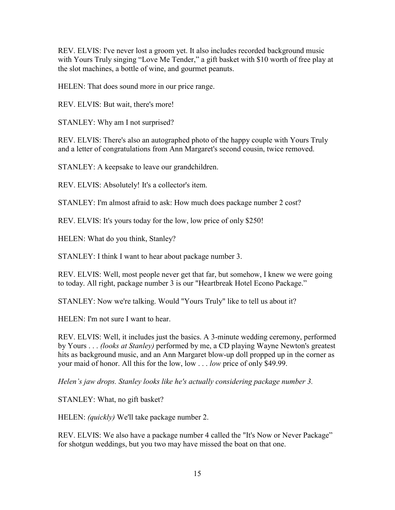REV. ELVIS: I've never lost a groom yet. It also includes recorded background music with Yours Truly singing "Love Me Tender," a gift basket with \$10 worth of free play at the slot machines, a bottle of wine, and gourmet peanuts.

HELEN: That does sound more in our price range.

REV. ELVIS: But wait, there's more!

STANLEY: Why am I not surprised?

REV. ELVIS: There's also an autographed photo of the happy couple with Yours Truly and a letter of congratulations from Ann Margaret's second cousin, twice removed.

STANLEY: A keepsake to leave our grandchildren.

REV. ELVIS: Absolutely! It's a collector's item.

STANLEY: I'm almost afraid to ask: How much does package number 2 cost?

REV. ELVIS: It's yours today for the low, low price of only \$250!

HELEN: What do you think, Stanley?

STANLEY: I think I want to hear about package number 3.

REV. ELVIS: Well, most people never get that far, but somehow, I knew we were going to today. All right, package number 3 is our "Heartbreak Hotel Econo Package."

STANLEY: Now we're talking. Would "Yours Truly" like to tell us about it?

HELEN: I'm not sure I want to hear.

REV. ELVIS: Well, it includes just the basics. A 3-minute wedding ceremony, performed by Yours . . . *(looks at Stanley)* performed by me, a CD playing Wayne Newton's greatest hits as background music, and an Ann Margaret blow-up doll propped up in the corner as your maid of honor. All this for the low, low . . . *low* price of only \$49.99.

*Helen's jaw drops. Stanley looks like he's actually considering package number 3.* 

STANLEY: What, no gift basket?

HELEN: *(quickly)* We'll take package number 2.

REV. ELVIS: We also have a package number 4 called the "It's Now or Never Package" for shotgun weddings, but you two may have missed the boat on that one.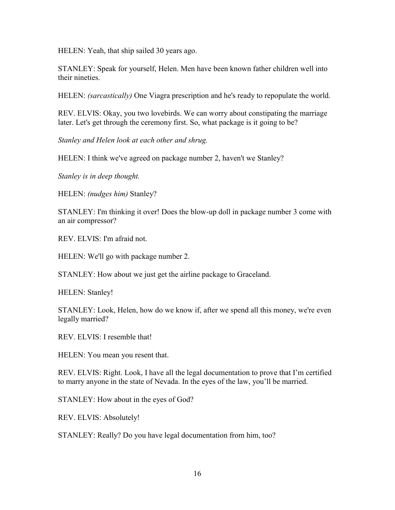HELEN: Yeah, that ship sailed 30 years ago.

STANLEY: Speak for yourself, Helen. Men have been known father children well into their nineties.

HELEN: *(sarcastically)* One Viagra prescription and he's ready to repopulate the world.

REV. ELVIS: Okay, you two lovebirds. We can worry about constipating the marriage later. Let's get through the ceremony first. So, what package is it going to be?

*Stanley and Helen look at each other and shrug.* 

HELEN: I think we've agreed on package number 2, haven't we Stanley?

*Stanley is in deep thought.* 

HELEN: *(nudges him)* Stanley?

STANLEY: I'm thinking it over! Does the blow-up doll in package number 3 come with an air compressor?

REV. ELVIS: I'm afraid not.

HELEN: We'll go with package number 2.

STANLEY: How about we just get the airline package to Graceland.

HELEN: Stanley!

STANLEY: Look, Helen, how do we know if, after we spend all this money, we're even legally married?

REV. ELVIS: I resemble that!

HELEN: You mean you resent that.

REV. ELVIS: Right. Look, I have all the legal documentation to prove that I'm certified to marry anyone in the state of Nevada. In the eyes of the law, you'll be married.

STANLEY: How about in the eyes of God?

REV. ELVIS: Absolutely!

STANLEY: Really? Do you have legal documentation from him, too?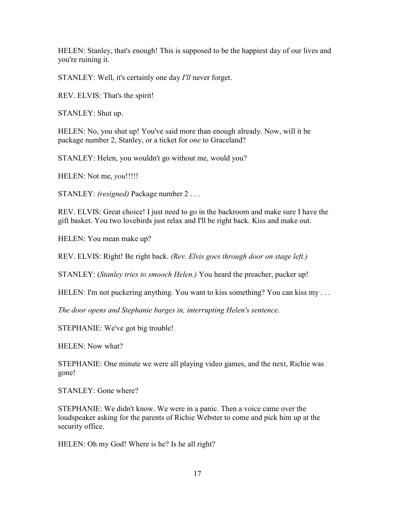HELEN: Stanley, that's enough! This is supposed to be the happiest day of our lives and you're ruining it.

STANLEY: Well, it's certainly one day *I'll* never forget.

REV. ELVIS: That's the spirit!

STANLEY: Shut up.

HELEN: No, you shut up! You've said more than enough already. Now, will it be package number 2, Stanley, or a ticket for *one* to Graceland?

STANLEY: Helen, you wouldn't go without me, would you?

HELEN: Not me, *you*!!!!!

STANLEY: *(resigned)* Package number 2 . . .

REV. ELVIS: Great choice! I just need to go in the backroom and make sure I have the gift basket. You two lovebirds just relax and I'll be right back. Kiss and make out.

HELEN: You mean make up?

REV. ELVIS: Right! Be right back. *(Rev. Elvis goes through door on stage left.)*

STANLEY: (*Stanley tries to smooch Helen.)* You heard the preacher, pucker up!

HELEN: I'm not puckering anything. You want to kiss something? You can kiss my ...

*The door opens and Stephanie barges in, interrupting Helen's sentence.* 

STEPHANIE: We've got big trouble!

HELEN: Now what?

STEPHANIE: One minute we were all playing video games, and the next, Richie was gone!

STANLEY: Gone where?

STEPHANIE: We didn't know. We were in a panic. Then a voice came over the loudspeaker asking for the parents of Richie Webster to come and pick him up at the security office.

HELEN: Oh my God! Where is he? Is he all right?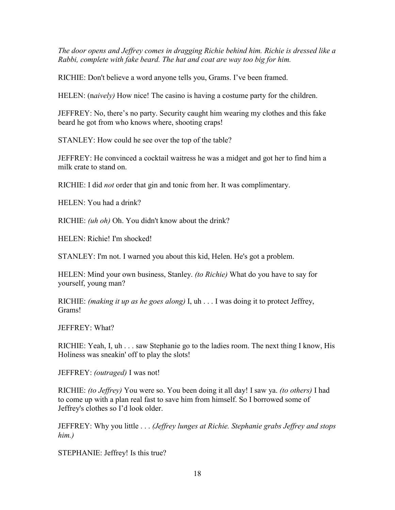*The door opens and Jeffrey comes in dragging Richie behind him. Richie is dressed like a Rabbi, complete with fake beard. The hat and coat are way too big for him.* 

RICHIE: Don't believe a word anyone tells you, Grams. I've been framed.

HELEN: (n*aively)* How nice! The casino is having a costume party for the children.

JEFFREY: No, there's no party. Security caught him wearing my clothes and this fake beard he got from who knows where, shooting craps!

STANLEY: How could he see over the top of the table?

JEFFREY: He convinced a cocktail waitress he was a midget and got her to find him a milk crate to stand on.

RICHIE: I did *not* order that gin and tonic from her. It was complimentary.

HELEN: You had a drink?

RICHIE: *(uh oh)* Oh. You didn't know about the drink?

HELEN: Richie! I'm shocked!

STANLEY: I'm not. I warned you about this kid, Helen. He's got a problem.

HELEN: Mind your own business, Stanley. *(to Richie)* What do you have to say for yourself, young man?

RICHIE: *(making it up as he goes along)* I, uh . . . I was doing it to protect Jeffrey, Grams!

JEFFREY: What?

RICHIE: Yeah, I, uh . . . saw Stephanie go to the ladies room. The next thing I know, His Holiness was sneakin' off to play the slots!

JEFFREY: *(outraged)* I was not!

RICHIE: *(to Jeffrey)* You were so. You been doing it all day! I saw ya. *(to others)* I had to come up with a plan real fast to save him from himself. So I borrowed some of Jeffrey's clothes so I'd look older.

JEFFREY: Why you little . . . *(Jeffrey lunges at Richie. Stephanie grabs Jeffrey and stops him.)* 

STEPHANIE: Jeffrey! Is this true?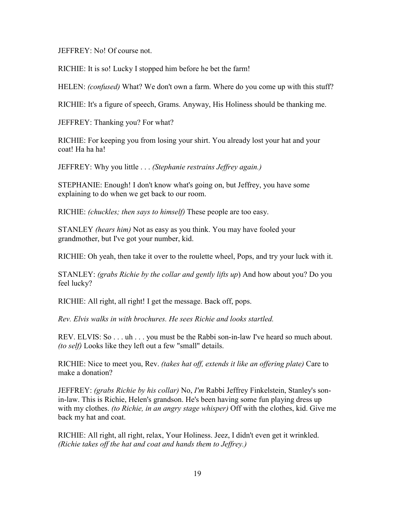JEFFREY: No! Of course not.

RICHIE: It is so! Lucky I stopped him before he bet the farm!

HELEN: *(confused)* What? We don't own a farm. Where do you come up with this stuff?

RICHIE: It's a figure of speech, Grams. Anyway, His Holiness should be thanking me.

JEFFREY: Thanking you? For what?

RICHIE: For keeping you from losing your shirt. You already lost your hat and your coat! Ha ha ha!

JEFFREY: Why you little . . . *(Stephanie restrains Jeffrey again.)* 

STEPHANIE: Enough! I don't know what's going on, but Jeffrey, you have some explaining to do when we get back to our room.

RICHIE: *(chuckles; then says to himself)* These people are too easy.

STANLEY *(hears him)* Not as easy as you think. You may have fooled your grandmother, but I've got your number, kid.

RICHIE: Oh yeah, then take it over to the roulette wheel, Pops, and try your luck with it.

STANLEY: *(grabs Richie by the collar and gently lifts up*) And how about you? Do you feel lucky?

RICHIE: All right, all right! I get the message. Back off, pops.

*Rev. Elvis walks in with brochures. He sees Richie and looks startled.* 

REV. ELVIS: So . . . uh . . . you must be the Rabbi son-in-law I've heard so much about. *(to self)* Looks like they left out a few "small" details.

RICHIE: Nice to meet you, Rev. *(takes hat off, extends it like an offering plate)* Care to make a donation?

JEFFREY: *(grabs Richie by his collar)* No, *I'm* Rabbi Jeffrey Finkelstein, Stanley's sonin-law. This is Richie, Helen's grandson. He's been having some fun playing dress up with my clothes. *(to Richie, in an angry stage whisper)* Off with the clothes, kid. Give me back my hat and coat.

RICHIE: All right, all right, relax, Your Holiness. Jeez, I didn't even get it wrinkled. *(Richie takes off the hat and coat and hands them to Jeffrey.)*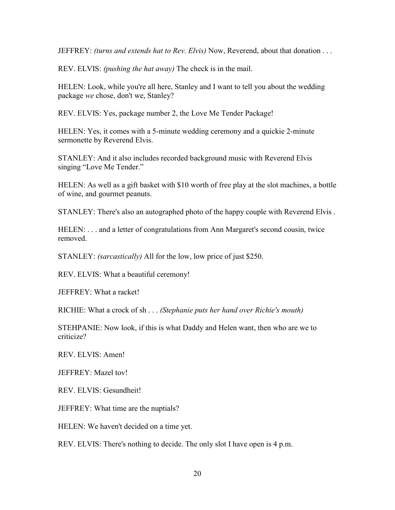JEFFREY: *(turns and extends hat to Rev. Elvis)* Now, Reverend, about that donation . . .

REV. ELVIS: *(pushing the hat away)* The check is in the mail.

HELEN: Look, while you're all here, Stanley and I want to tell you about the wedding package *we* chose, don't we, Stanley?

REV. ELVIS: Yes, package number 2, the Love Me Tender Package!

HELEN: Yes, it comes with a 5-minute wedding ceremony and a quickie 2-minute sermonette by Reverend Elvis.

STANLEY: And it also includes recorded background music with Reverend Elvis singing "Love Me Tender."

HELEN: As well as a gift basket with \$10 worth of free play at the slot machines, a bottle of wine, and gourmet peanuts.

STANLEY: There's also an autographed photo of the happy couple with Reverend Elvis .

HELEN: . . . and a letter of congratulations from Ann Margaret's second cousin, twice removed.

STANLEY: *(sarcastically)* All for the low, low price of just \$250.

REV. ELVIS: What a beautiful ceremony!

JEFFREY: What a racket!

RICHIE: What a crock of sh . . . *(Stephanie puts her hand over Richie's mouth)* 

STEHPANIE: Now look, if this is what Daddy and Helen want, then who are we to criticize?

REV. ELVIS: Amen!

JEFFREY: Mazel tov!

REV. ELVIS: Gesundheit!

JEFFREY: What time are the nuptials?

HELEN: We haven't decided on a time yet.

REV. ELVIS: There's nothing to decide. The only slot I have open is 4 p.m.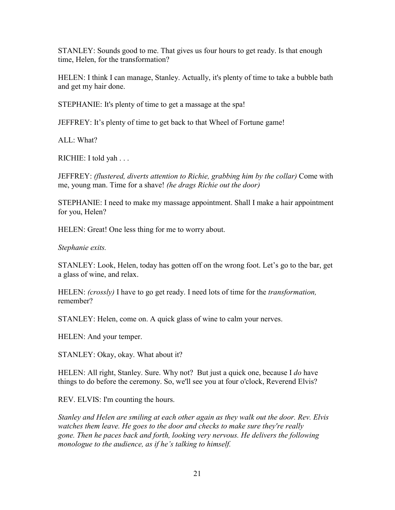STANLEY: Sounds good to me. That gives us four hours to get ready. Is that enough time, Helen, for the transformation?

HELEN: I think I can manage, Stanley. Actually, it's plenty of time to take a bubble bath and get my hair done.

STEPHANIE: It's plenty of time to get a massage at the spa!

JEFFREY: It's plenty of time to get back to that Wheel of Fortune game!

ALL: What?

RICHIE: I told yah . . .

JEFFREY: *(flustered, diverts attention to Richie, grabbing him by the collar)* Come with me, young man. Time for a shave! *(he drags Richie out the door)*

STEPHANIE: I need to make my massage appointment. Shall I make a hair appointment for you, Helen?

HELEN: Great! One less thing for me to worry about.

*Stephanie exits.* 

STANLEY: Look, Helen, today has gotten off on the wrong foot. Let's go to the bar, get a glass of wine, and relax.

HELEN: *(crossly)* I have to go get ready. I need lots of time for the *transformation,* remember?

STANLEY: Helen, come on. A quick glass of wine to calm your nerves.

HELEN: And your temper.

STANLEY: Okay, okay. What about it?

HELEN: All right, Stanley. Sure. Why not? But just a quick one, because I *do* have things to do before the ceremony. So, we'll see you at four o'clock, Reverend Elvis?

REV. ELVIS: I'm counting the hours.

*Stanley and Helen are smiling at each other again as they walk out the door. Rev. Elvis watches them leave. He goes to the door and checks to make sure they're really gone. Then he paces back and forth, looking very nervous. He delivers the following monologue to the audience, as if he's talking to himself.*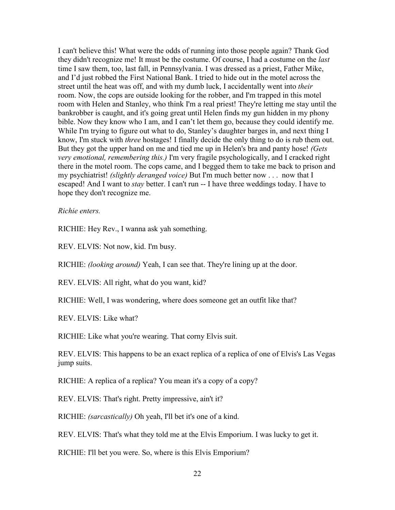I can't believe this! What were the odds of running into those people again? Thank God they didn't recognize me! It must be the costume. Of course, I had a costume on the *last*  time I saw them, too, last fall, in Pennsylvania. I was dressed as a priest, Father Mike, and I'd just robbed the First National Bank. I tried to hide out in the motel across the street until the heat was off, and with my dumb luck, I accidentally went into *their* room. Now, the cops are outside looking for the robber, and I'm trapped in this motel room with Helen and Stanley, who think I'm a real priest! They're letting me stay until the bankrobber is caught, and it's going great until Helen finds my gun hidden in my phony bible. Now they know who I am, and I can't let them go, because they could identify me. While I'm trying to figure out what to do, Stanley's daughter barges in, and next thing I know, I'm stuck with *three* hostages! I finally decide the only thing to do is rub them out. But they got the upper hand on me and tied me up in Helen's bra and panty hose! *(Gets very emotional, remembering this.)* I'm very fragile psychologically, and I cracked right there in the motel room. The cops came, and I begged them to take me back to prison and my psychiatrist! *(slightly deranged voice)* But I'm much better now . . . now that I escaped! And I want to *stay* better. I can't run -- I have three weddings today. I have to hope they don't recognize me.

#### *Richie enters.*

RICHIE: Hey Rev., I wanna ask yah something.

REV. ELVIS: Not now, kid. I'm busy.

RICHIE: *(looking around)* Yeah, I can see that. They're lining up at the door.

REV. ELVIS: All right, what do you want, kid?

RICHIE: Well, I was wondering, where does someone get an outfit like that?

REV. ELVIS: Like what?

RICHIE: Like what you're wearing. That corny Elvis suit.

REV. ELVIS: This happens to be an exact replica of a replica of one of Elvis's Las Vegas jump suits.

RICHIE: A replica of a replica? You mean it's a copy of a copy?

REV. ELVIS: That's right. Pretty impressive, ain't it?

RICHIE: *(sarcastically)* Oh yeah, I'll bet it's one of a kind.

REV. ELVIS: That's what they told me at the Elvis Emporium. I was lucky to get it.

RICHIE: I'll bet you were. So, where is this Elvis Emporium?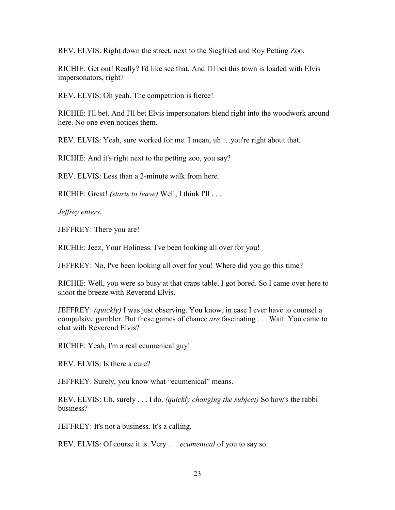REV. ELVIS: Right down the street, next to the Siegfried and Roy Petting Zoo.

RICHIE: Get out! Really? I'd like see that. And I'll bet this town is loaded with Elvis impersonators, right?

REV. ELVIS: Oh yeah. The competition is fierce!

RICHIE: I'll bet. And I'll bet Elvis impersonators blend right into the woodwork around here. No one even notices them.

REV. ELVIS: Yeah, sure worked for me. I mean, uh …you're right about that.

RICHIE: And it's right next to the petting zoo, you say?

REV. ELVIS: Less than a 2-minute walk from here.

RICHIE: Great! *(starts to leave)* Well, I think I'll . . .

*Jeffrey enters.* 

JEFFREY: There you are!

RICHIE: Jeez, Your Holiness. I've been looking all over for you!

JEFFREY: No, I've been looking all over for you! Where did you go this time?

RICHIE: Well, you were so busy at that craps table, I got bored. So I came over here to shoot the breeze with Reverend Elvis.

JEFFREY: *(quickly)* I was just observing. You know, in case I ever have to counsel a compulsive gambler. But these games of chance *are* fascinating . . . Wait. You came to chat with Reverend Elvis?

RICHIE: Yeah, I'm a real ecumenical guy!

REV. ELVIS: Is there a cure?

JEFFREY: Surely, you know what "ecumenical" means.

REV. ELVIS: Uh, surely . . . I do. *(quickly changing the subject)* So how's the rabbi business?

JEFFREY: It's not a business. It's a calling.

REV. ELVIS: Of course it is. Very . . . *ecumenical* of you to say so.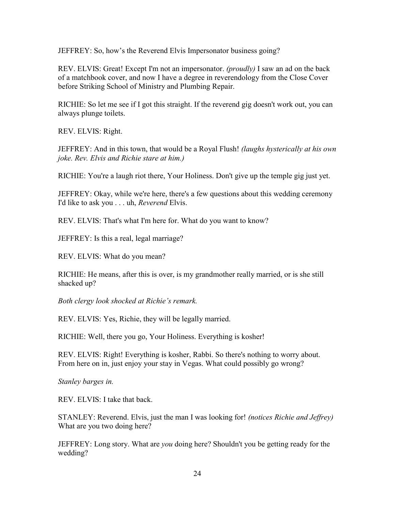JEFFREY: So, how's the Reverend Elvis Impersonator business going?

REV. ELVIS: Great! Except I'm not an impersonator. *(proudly)* I saw an ad on the back of a matchbook cover, and now I have a degree in reverendology from the Close Cover before Striking School of Ministry and Plumbing Repair.

RICHIE: So let me see if I got this straight. If the reverend gig doesn't work out, you can always plunge toilets.

REV. ELVIS: Right.

JEFFREY: And in this town, that would be a Royal Flush! *(laughs hysterically at his own joke. Rev. Elvis and Richie stare at him.)* 

RICHIE: You're a laugh riot there, Your Holiness. Don't give up the temple gig just yet.

JEFFREY: Okay, while we're here, there's a few questions about this wedding ceremony I'd like to ask you . . . uh, *Reverend* Elvis.

REV. ELVIS: That's what I'm here for. What do you want to know?

JEFFREY: Is this a real, legal marriage?

REV. ELVIS: What do you mean?

RICHIE: He means, after this is over, is my grandmother really married, or is she still shacked up?

*Both clergy look shocked at Richie's remark.* 

REV. ELVIS: Yes, Richie, they will be legally married.

RICHIE: Well, there you go, Your Holiness. Everything is kosher!

REV. ELVIS: Right! Everything is kosher, Rabbi. So there's nothing to worry about. From here on in, just enjoy your stay in Vegas. What could possibly go wrong?

*Stanley barges in.* 

REV. ELVIS: I take that back.

STANLEY: Reverend. Elvis, just the man I was looking for! *(notices Richie and Jeffrey)*  What are you two doing here?

JEFFREY: Long story. What are *you* doing here? Shouldn't you be getting ready for the wedding?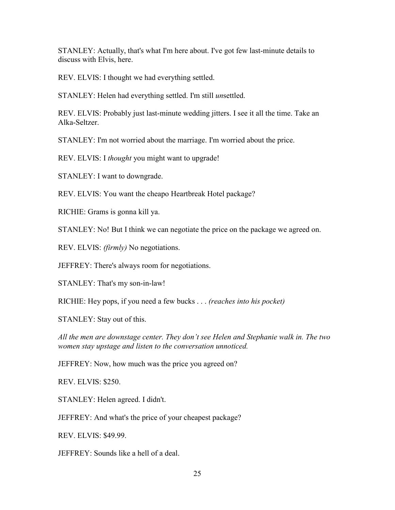STANLEY: Actually, that's what I'm here about. I've got few last-minute details to discuss with Elvis, here.

REV. ELVIS: I thought we had everything settled.

STANLEY: Helen had everything settled. I'm still *un*settled.

REV. ELVIS: Probably just last-minute wedding jitters. I see it all the time. Take an Alka-Seltzer.

STANLEY: I'm not worried about the marriage. I'm worried about the price.

REV. ELVIS: I *thought* you might want to upgrade!

STANLEY: I want to downgrade.

REV. ELVIS: You want the cheapo Heartbreak Hotel package?

RICHIE: Grams is gonna kill ya.

STANLEY: No! But I think we can negotiate the price on the package we agreed on.

REV. ELVIS: *(firmly)* No negotiations.

JEFFREY: There's always room for negotiations.

STANLEY: That's my son-in-law!

RICHIE: Hey pops, if you need a few bucks . . . *(reaches into his pocket)* 

STANLEY: Stay out of this.

*All the men are downstage center. They don't see Helen and Stephanie walk in. The two women stay upstage and listen to the conversation unnoticed.* 

JEFFREY: Now, how much was the price you agreed on?

REV. ELVIS: \$250.

STANLEY: Helen agreed. I didn't.

JEFFREY: And what's the price of your cheapest package?

REV. ELVIS: \$49.99.

JEFFREY: Sounds like a hell of a deal.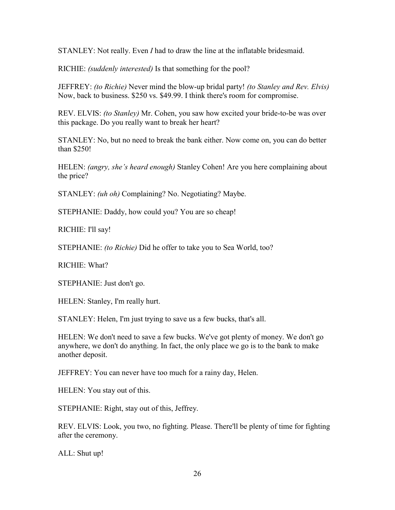STANLEY: Not really. Even *I* had to draw the line at the inflatable bridesmaid.

RICHIE: *(suddenly interested)* Is that something for the pool?

JEFFREY: *(to Richie)* Never mind the blow-up bridal party! *(to Stanley and Rev. Elvis)* Now, back to business. \$250 vs. \$49.99. I think there's room for compromise.

REV. ELVIS: *(to Stanley)* Mr. Cohen, you saw how excited your bride-to-be was over this package. Do you really want to break her heart?

STANLEY: No, but no need to break the bank either. Now come on, you can do better than \$250!

HELEN: *(angry, she's heard enough)* Stanley Cohen! Are you here complaining about the price?

STANLEY: *(uh oh)* Complaining? No. Negotiating? Maybe.

STEPHANIE: Daddy, how could you? You are so cheap!

RICHIE: I'll say!

STEPHANIE: *(to Richie)* Did he offer to take you to Sea World, too?

RICHIE: What?

STEPHANIE: Just don't go.

HELEN: Stanley, I'm really hurt.

STANLEY: Helen, I'm just trying to save us a few bucks, that's all.

HELEN: We don't need to save a few bucks. We've got plenty of money. We don't go anywhere, we don't do anything. In fact, the only place we go is to the bank to make another deposit.

JEFFREY: You can never have too much for a rainy day, Helen.

HELEN: You stay out of this.

STEPHANIE: Right, stay out of this, Jeffrey.

REV. ELVIS: Look, you two, no fighting. Please. There'll be plenty of time for fighting after the ceremony.

ALL: Shut up!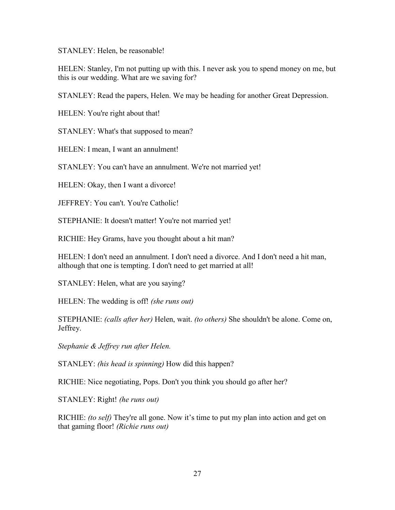STANLEY: Helen, be reasonable!

HELEN: Stanley, I'm not putting up with this. I never ask you to spend money on me, but this is our wedding. What are we saving for?

STANLEY: Read the papers, Helen. We may be heading for another Great Depression.

HELEN: You're right about that!

STANLEY: What's that supposed to mean?

HELEN: I mean, I want an annulment!

STANLEY: You can't have an annulment. We're not married yet!

HELEN: Okay, then I want a divorce!

JEFFREY: You can't. You're Catholic!

STEPHANIE: It doesn't matter! You're not married yet!

RICHIE: Hey Grams, have you thought about a hit man?

HELEN: I don't need an annulment. I don't need a divorce. And I don't need a hit man, although that one is tempting. I don't need to get married at all!

STANLEY: Helen, what are you saying?

HELEN: The wedding is off! *(she runs out)*

STEPHANIE: *(calls after her)* Helen, wait. *(to others)* She shouldn't be alone. Come on, Jeffrey.

*Stephanie & Jeffrey run after Helen.* 

STANLEY: *(his head is spinning)* How did this happen?

RICHIE: Nice negotiating, Pops. Don't you think you should go after her?

STANLEY: Right! *(he runs out)* 

RICHIE: *(to self)* They're all gone. Now it's time to put my plan into action and get on that gaming floor! *(Richie runs out)*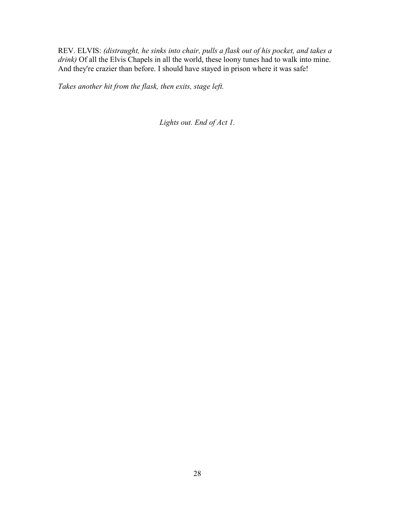REV. ELVIS: *(distraught, he sinks into chair, pulls a flask out of his pocket, and takes a drink)* Of all the Elvis Chapels in all the world, these loony tunes had to walk into mine. And they're crazier than before. I should have stayed in prison where it was safe!

*Takes another hit from the flask, then exits, stage left.* 

*Lights out. End of Act 1.*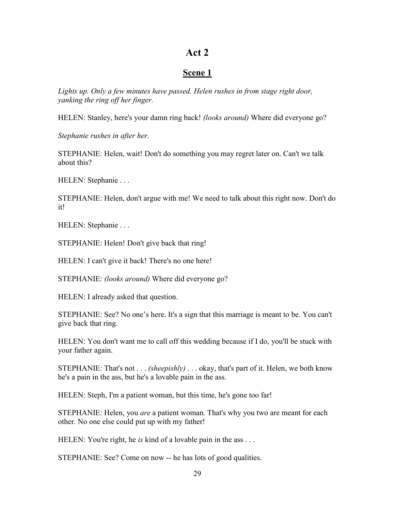## **Act 2**

## **Scene 1**

Lights up. Only a few minutes have passed. Helen rushes in from stage right door, *yanking the ring off her finger.*

HELEN: Stanley, here's your damn ring back! *(looks around)* Where did everyone go?

*Stephanie rushes in after her.* 

STEPHANIE: Helen, wait! Don't do something you may regret later on. Can't we talk about this?

HELEN: Stephanie . . .

STEPHANIE: Helen, don't argue with me! We need to talk about this right now. Don't do it!

HELEN: Stephanie . . .

STEPHANIE: Helen! Don't give back that ring!

HELEN: I can't give it back! There's no one here!

STEPHANIE: *(looks around)* Where did everyone go?

HELEN: I already asked that question.

STEPHANIE: See? No one's here. It's a sign that this marriage is meant to be. You can't give back that ring.

HELEN: You don't want me to call off this wedding because if I do, you'll be stuck with your father again.

STEPHANIE: That's not . . . *(sheepishly)* . . . okay, that's part of it. Helen, we both know he's a pain in the ass, but he's a lovable pain in the ass.

HELEN: Steph, I'm a patient woman, but this time, he's gone too far!

STEPHANIE: Helen, you *are* a patient woman. That's why you two are meant for each other. No one else could put up with my father!

HELEN: You're right, he *is* kind of a lovable pain in the ass . . .

STEPHANIE: See? Come on now -- he has lots of good qualities.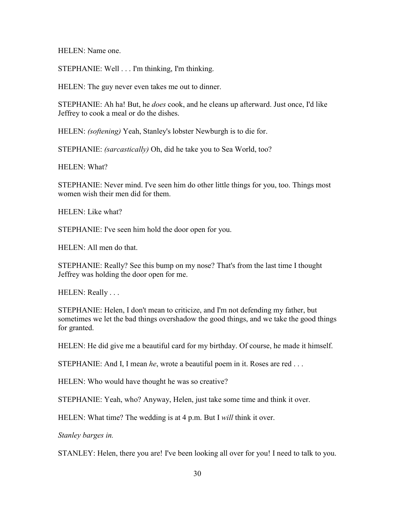HELEN: Name one.

STEPHANIE: Well . . . I'm thinking, I'm thinking.

HELEN: The guy never even takes me out to dinner.

STEPHANIE: Ah ha! But, he *does* cook, and he cleans up afterward. Just once, I'd like Jeffrey to cook a meal or do the dishes.

HELEN: *(softening)* Yeah, Stanley's lobster Newburgh is to die for.

STEPHANIE: *(sarcastically)* Oh, did he take you to Sea World, too?

HELEN<sup>.</sup> What?

STEPHANIE: Never mind. I've seen him do other little things for you, too. Things most women wish their men did for them.

HELEN: Like what?

STEPHANIE: I've seen him hold the door open for you.

HELEN: All men do that.

STEPHANIE: Really? See this bump on my nose? That's from the last time I thought Jeffrey was holding the door open for me.

HELEN: Really . . .

STEPHANIE: Helen, I don't mean to criticize, and I'm not defending my father, but sometimes we let the bad things overshadow the good things, and we take the good things for granted.

HELEN: He did give me a beautiful card for my birthday. Of course, he made it himself.

STEPHANIE: And I, I mean *he*, wrote a beautiful poem in it. Roses are red . . .

HELEN: Who would have thought he was so creative?

STEPHANIE: Yeah, who? Anyway, Helen, just take some time and think it over.

HELEN: What time? The wedding is at 4 p.m. But I *will* think it over.

*Stanley barges in.* 

STANLEY: Helen, there you are! I've been looking all over for you! I need to talk to you.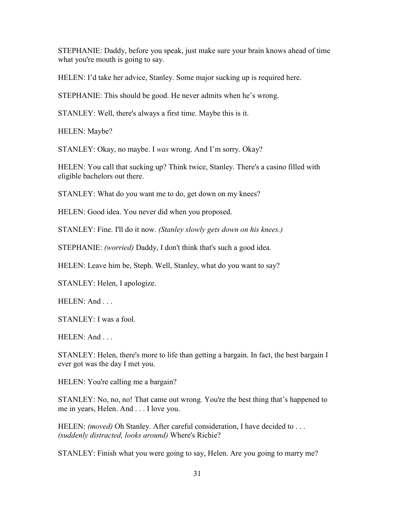STEPHANIE: Daddy, before you speak, just make sure your brain knows ahead of time what you're mouth is going to say.

HELEN: I'd take her advice, Stanley. Some major sucking up is required here.

STEPHANIE: This should be good. He never admits when he's wrong.

STANLEY: Well, there's always a first time. Maybe this is it.

HELEN: Maybe?

STANLEY: Okay, no maybe. I *was* wrong. And I'm sorry. Okay?

HELEN: You call that sucking up? Think twice, Stanley. There's a casino filled with eligible bachelors out there.

STANLEY: What do you want me to do, get down on my knees?

HELEN: Good idea. You never did when you proposed.

STANLEY: Fine. I'll do it now. *(Stanley slowly gets down on his knees.)* 

STEPHANIE: *(worried)* Daddy, I don't think that's such a good idea.

HELEN: Leave him be, Steph. Well, Stanley, what do you want to say?

STANLEY: Helen, I apologize.

HELEN: And ...

STANLEY: I was a fool.

HELEN: And ...

STANLEY: Helen, there's more to life than getting a bargain. In fact, the best bargain I ever got was the day I met you.

HELEN: You're calling me a bargain?

STANLEY: No, no, no! That came out wrong. You're the best thing that's happened to me in years, Helen. And . . . I love you.

HELEN: *(moved)* Oh Stanley. After careful consideration, I have decided to ... *(suddenly distracted, looks around)* Where's Richie?

STANLEY: Finish what you were going to say, Helen. Are you going to marry me?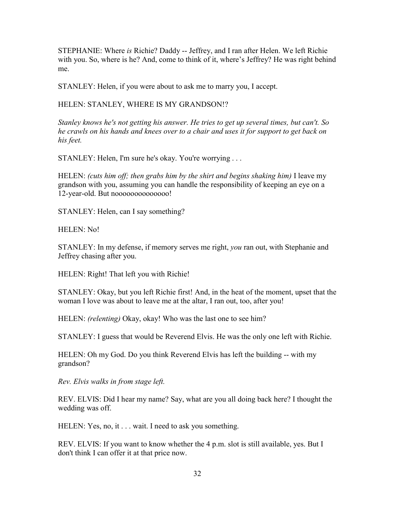STEPHANIE: Where *is* Richie? Daddy -- Jeffrey, and I ran after Helen. We left Richie with you. So, where is he? And, come to think of it, where's Jeffrey? He was right behind me.

STANLEY: Helen, if you were about to ask me to marry you, I accept.

HELEN: STANLEY, WHERE IS MY GRANDSON!?

*Stanley knows he's not getting his answer. He tries to get up several times, but can't. So he crawls on his hands and knees over to a chair and uses it for support to get back on his feet.* 

STANLEY: Helen, I'm sure he's okay. You're worrying . . .

HELEN: *(cuts him off; then grabs him by the shirt and begins shaking him)* I leave my grandson with you, assuming you can handle the responsibility of keeping an eye on a 12-year-old. But noooooooooooooo!

STANLEY: Helen, can I say something?

HELEN: No!

STANLEY: In my defense, if memory serves me right, *you* ran out, with Stephanie and Jeffrey chasing after you.

HELEN: Right! That left you with Richie!

STANLEY: Okay, but you left Richie first! And, in the heat of the moment, upset that the woman I love was about to leave me at the altar, I ran out, too, after you!

HELEN: *(relenting)* Okay, okay! Who was the last one to see him?

STANLEY: I guess that would be Reverend Elvis. He was the only one left with Richie.

HELEN: Oh my God. Do you think Reverend Elvis has left the building -- with my grandson?

*Rev. Elvis walks in from stage left.* 

REV. ELVIS: Did I hear my name? Say, what are you all doing back here? I thought the wedding was off.

HELEN: Yes, no, it . . . wait. I need to ask you something.

REV. ELVIS: If you want to know whether the 4 p.m. slot is still available, yes. But I don't think I can offer it at that price now.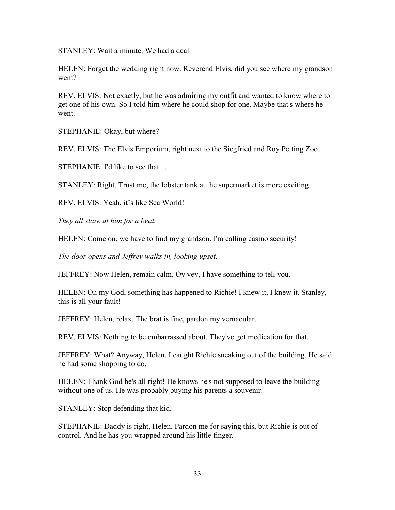STANLEY: Wait a minute. We had a deal.

HELEN: Forget the wedding right now. Reverend Elvis, did you see where my grandson went?

REV. ELVIS: Not exactly, but he was admiring my outfit and wanted to know where to get one of his own. So I told him where he could shop for one. Maybe that's where he went.

STEPHANIE: Okay, but where?

REV. ELVIS: The Elvis Emporium, right next to the Siegfried and Roy Petting Zoo.

STEPHANIE: I'd like to see that . . .

STANLEY: Right. Trust me, the lobster tank at the supermarket is more exciting.

REV. ELVIS: Yeah, it's like Sea World!

*They all stare at him for a beat.* 

HELEN: Come on, we have to find my grandson. I'm calling casino security!

*The door opens and Jeffrey walks in, looking upset.* 

JEFFREY: Now Helen, remain calm. Oy vey, I have something to tell you.

HELEN: Oh my God, something has happened to Richie! I knew it, I knew it. Stanley, this is all your fault!

JEFFREY: Helen, relax. The brat is fine, pardon my vernacular.

REV. ELVIS: Nothing to be embarrassed about. They've got medication for that.

JEFFREY: What? Anyway, Helen, I caught Richie sneaking out of the building. He said he had some shopping to do.

HELEN: Thank God he's all right! He knows he's not supposed to leave the building without one of us. He was probably buying his parents a souvenir.

STANLEY: Stop defending that kid.

STEPHANIE: Daddy is right, Helen. Pardon me for saying this, but Richie is out of control. And he has you wrapped around his little finger.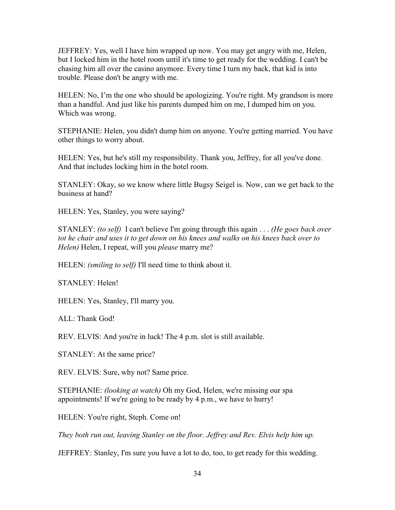JEFFREY: Yes, well I have him wrapped up now. You may get angry with me, Helen, but I locked him in the hotel room until it's time to get ready for the wedding. I can't be chasing him all over the casino anymore. Every time I turn my back, that kid is into trouble. Please don't be angry with me.

HELEN: No, I'm the one who should be apologizing. You're right. My grandson is more than a handful. And just like his parents dumped him on me, I dumped him on you. Which was wrong.

STEPHANIE: Helen, you didn't dump him on anyone. You're getting married. You have other things to worry about.

HELEN: Yes, but he's still my responsibility. Thank you, Jeffrey, for all you've done. And that includes locking him in the hotel room.

STANLEY: Okay, so we know where little Bugsy Seigel is. Now, can we get back to the business at hand?

HELEN: Yes, Stanley, you were saying?

STANLEY: *(to self)* I can't believe I'm going through this again . . . *(He goes back over tot he chair and uses it to get down on his knees and walks on his knees back over to Helen)* Helen, I repeat, will you *please* marry me?

HELEN: *(smiling to self)* I'll need time to think about it.

STANLEY: Helen!

HELEN: Yes, Stanley, I'll marry you.

ALL: Thank God!

REV. ELVIS: And you're in luck! The 4 p.m. slot is still available.

STANLEY: At the same price?

REV. ELVIS: Sure, why not? Same price.

STEPHANIE: *(looking at watch)* Oh my God, Helen, we're missing our spa appointments! If we're going to be ready by 4 p.m., we have to hurry!

HELEN: You're right, Steph. Come on!

*They both run out, leaving Stanley on the floor. Jeffrey and Rev. Elvis help him up.* 

JEFFREY: Stanley, I'm sure you have a lot to do, too, to get ready for this wedding.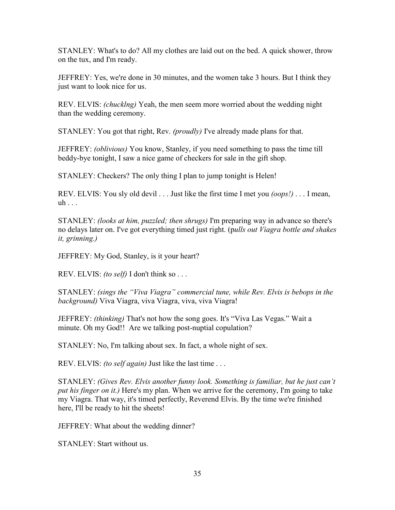STANLEY: What's to do? All my clothes are laid out on the bed. A quick shower, throw on the tux, and I'm ready.

JEFFREY: Yes, we're done in 30 minutes, and the women take 3 hours. But I think they just want to look nice for us.

REV. ELVIS: *(chucklng)* Yeah, the men seem more worried about the wedding night than the wedding ceremony.

STANLEY: You got that right, Rev. *(proudly)* I've already made plans for that.

JEFFREY: *(oblivious)* You know, Stanley, if you need something to pass the time till beddy-bye tonight, I saw a nice game of checkers for sale in the gift shop.

STANLEY: Checkers? The only thing I plan to jump tonight is Helen!

REV. ELVIS: You sly old devil . . . Just like the first time I met you *(oops!)* . . . I mean, uh . . .

STANLEY: *(looks at him, puzzled; then shrugs)* I'm preparing way in advance so there's no delays later on. I've got everything timed just right. (p*ulls out Viagra bottle and shakes it, grinning.)* 

JEFFREY: My God, Stanley, is it your heart?

REV. ELVIS: *(to self)* I don't think so . . .

STANLEY: *(sings the "Viva Viagra" commercial tune, while Rev. Elvis is bebops in the background)* Viva Viagra, viva Viagra, viva, viva Viagra!

JEFFREY: *(thinking)* That's not how the song goes. It's "Viva Las Vegas." Wait a minute. Oh my God!! Are we talking post-nuptial copulation?

STANLEY: No, I'm talking about sex. In fact, a whole night of sex.

REV. ELVIS: *(to self again)* Just like the last time . . .

STANLEY: *(Gives Rev. Elvis another funny look. Something is familiar, but he just can't put his finger on it.)* Here's my plan. When we arrive for the ceremony, I'm going to take my Viagra. That way, it's timed perfectly, Reverend Elvis. By the time we're finished here, I'll be ready to hit the sheets!

JEFFREY: What about the wedding dinner?

STANLEY: Start without us.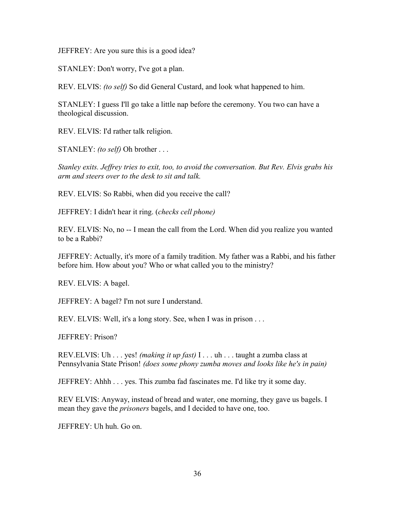JEFFREY: Are you sure this is a good idea?

STANLEY: Don't worry, I've got a plan.

REV. ELVIS: *(to self)* So did General Custard, and look what happened to him.

STANLEY: I guess I'll go take a little nap before the ceremony. You two can have a theological discussion.

REV. ELVIS: I'd rather talk religion.

STANLEY: *(to self)* Oh brother . . .

*Stanley exits. Jeffrey tries to exit, too, to avoid the conversation. But Rev. Elvis grabs his arm and steers over to the desk to sit and talk.* 

REV. ELVIS: So Rabbi, when did you receive the call?

JEFFREY: I didn't hear it ring. (*checks cell phone)* 

REV. ELVIS: No, no -- I mean the call from the Lord. When did you realize you wanted to be a Rabbi?

JEFFREY: Actually, it's more of a family tradition. My father was a Rabbi, and his father before him. How about you? Who or what called you to the ministry?

REV. ELVIS: A bagel.

JEFFREY: A bagel? I'm not sure I understand.

REV. ELVIS: Well, it's a long story. See, when I was in prison . . .

JEFFREY: Prison?

REV.ELVIS: Uh . . . yes! *(making it up fast)* I . . . uh . . . taught a zumba class at Pennsylvania State Prison! *(does some phony zumba moves and looks like he's in pain)* 

JEFFREY: Ahhh . . . yes. This zumba fad fascinates me. I'd like try it some day.

REV ELVIS: Anyway, instead of bread and water, one morning, they gave us bagels. I mean they gave the *prisoners* bagels, and I decided to have one, too.

JEFFREY: Uh huh. Go on.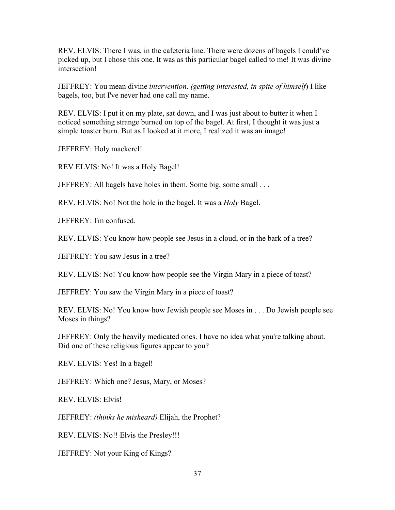REV. ELVIS: There I was, in the cafeteria line. There were dozens of bagels I could've picked up, but I chose this one. It was as this particular bagel called to me! It was divine intersection!

JEFFREY: You mean divine *intervention*. *(getting interested, in spite of himself*) I like bagels, too, but I've never had one call my name.

REV. ELVIS: I put it on my plate, sat down, and I was just about to butter it when I noticed something strange burned on top of the bagel. At first, I thought it was just a simple toaster burn. But as I looked at it more, I realized it was an image!

JEFFREY: Holy mackerel!

REV ELVIS: No! It was a Holy Bagel!

JEFFREY: All bagels have holes in them. Some big, some small . . .

REV. ELVIS: No! Not the hole in the bagel. It was a *Holy* Bagel.

JEFFREY: I'm confused.

REV. ELVIS: You know how people see Jesus in a cloud, or in the bark of a tree?

JEFFREY: You saw Jesus in a tree?

REV. ELVIS: No! You know how people see the Virgin Mary in a piece of toast?

JEFFREY: You saw the Virgin Mary in a piece of toast?

REV. ELVIS: No! You know how Jewish people see Moses in . . . Do Jewish people see Moses in things?

JEFFREY: Only the heavily medicated ones. I have no idea what you're talking about. Did one of these religious figures appear to you?

REV. ELVIS: Yes! In a bagel!

JEFFREY: Which one? Jesus, Mary, or Moses?

REV. ELVIS: Elvis!

JEFFREY: *(thinks he misheard)* Elijah, the Prophet?

REV. ELVIS: No!! Elvis the Presley!!!

JEFFREY: Not your King of Kings?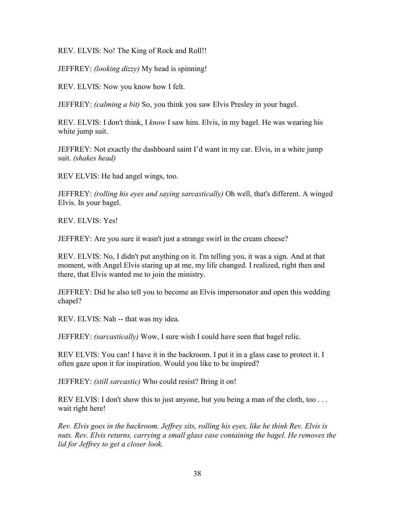REV. ELVIS: No! The King of Rock and Roll!!

JEFFREY: *(looking dizzy)* My head is spinning!

REV. ELVIS: Now you know how I felt.

JEFFREY: *(calming a bit)* So, you think you saw Elvis Presley in your bagel.

REV. ELVIS: I don't think, I *know* I saw him. Elvis, in my bagel. He was wearing his white jump suit.

JEFFREY: Not exactly the dashboard saint I'd want in my car. Elvis, in a white jump suit. *(shakes head)* 

REV ELVIS: He had angel wings, too.

JEFFREY: *(rolling his eyes and saying sarcastically)* Oh well, that's different. A winged Elvis. In your bagel.

REV. ELVIS: Yes!

JEFFREY: Are you sure it wasn't just a strange swirl in the cream cheese?

REV. ELVIS: No, I didn't put anything on it. I'm telling you, it was a sign. And at that moment, with Angel Elvis staring up at me, my life changed. I realized, right then and there, that Elvis wanted me to join the ministry.

JEFFREY: Did he also tell you to become an Elvis impersonator and open this wedding chapel?

REV. ELVIS: Nah -- that was my idea.

JEFFREY: *(sarcastically)* Wow, I sure wish I could have seen that bagel relic.

REV ELVIS: You can! I have it in the backroom. I put it in a glass case to protect it. I often gaze upon it for inspiration. Would you like to be inspired?

JEFFREY: *(still sarcastic)* Who could resist? Bring it on!

REV ELVIS: I don't show this to just anyone, but you being a man of the cloth, too . . . wait right here!

*Rev. Elvis goes in the backroom. Jeffrey sits, rolling his eyes, like he think Rev. Elvis is nuts. Rev. Elvis returns, carrying a small glass case containing the bagel. He removes the lid for Jeffrey to get a closer look.*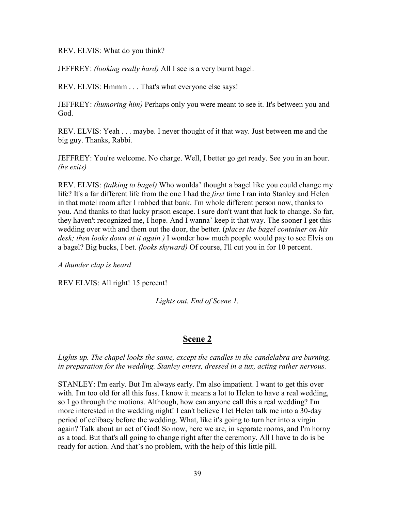REV. ELVIS: What do you think?

JEFFREY: *(looking really hard)* All I see is a very burnt bagel.

REV. ELVIS: Hmmm . . . That's what everyone else says!

JEFFREY: *(humoring him)* Perhaps only you were meant to see it. It's between you and God.

REV. ELVIS: Yeah . . . maybe. I never thought of it that way. Just between me and the big guy. Thanks, Rabbi.

JEFFREY: You're welcome. No charge. Well, I better go get ready. See you in an hour. *(he exits)*

REV. ELVIS: *(talking to bagel)* Who woulda' thought a bagel like you could change my life? It's a far different life from the one I had the *first* time I ran into Stanley and Helen in that motel room after I robbed that bank. I'm whole different person now, thanks to you. And thanks to that lucky prison escape. I sure don't want that luck to change. So far, they haven't recognized me, I hope. And I wanna' keep it that way. The sooner I get this wedding over with and them out the door, the better. (*places the bagel container on his desk; then looks down at it again.)* I wonder how much people would pay to see Elvis on a bagel? Big bucks, I bet. *(looks skyward)* Of course, I'll cut you in for 10 percent.

*A thunder clap is heard* 

REV ELVIS: All right! 15 percent!

*Lights out. End of Scene 1.* 

#### **Scene 2**

Lights up. The chapel looks the same, except the candles in the candelabra are burning, *in preparation for the wedding. Stanley enters, dressed in a tux, acting rather nervous.* 

STANLEY: I'm early. But I'm always early. I'm also impatient. I want to get this over with. I'm too old for all this fuss. I know it means a lot to Helen to have a real wedding, so I go through the motions. Although, how can anyone call this a real wedding? I'm more interested in the wedding night! I can't believe I let Helen talk me into a 30-day period of celibacy before the wedding. What, like it's going to turn her into a virgin again? Talk about an act of God! So now, here we are, in separate rooms, and I'm horny as a toad. But that's all going to change right after the ceremony. All I have to do is be ready for action. And that's no problem, with the help of this little pill.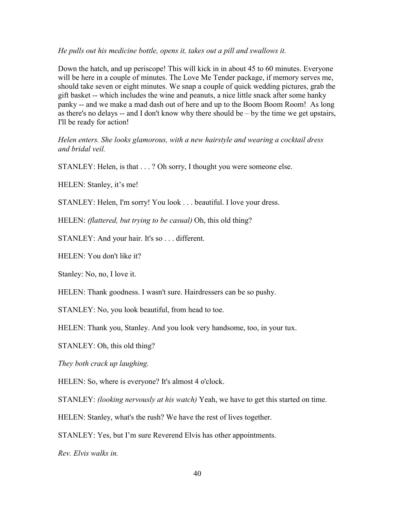*He pulls out his medicine bottle, opens it, takes out a pill and swallows it.* 

Down the hatch, and up periscope! This will kick in in about 45 to 60 minutes. Everyone will be here in a couple of minutes. The Love Me Tender package, if memory serves me, should take seven or eight minutes. We snap a couple of quick wedding pictures, grab the gift basket -- which includes the wine and peanuts, a nice little snack after some hanky panky -- and we make a mad dash out of here and up to the Boom Boom Room! As long as there's no delays -- and I don't know why there should be – by the time we get upstairs, I'll be ready for action!

*Helen enters. She looks glamorous, with a new hairstyle and wearing a cocktail dress and bridal veil.* 

STANLEY: Helen, is that . . . ? Oh sorry, I thought you were someone else.

HELEN: Stanley, it's me!

STANLEY: Helen, I'm sorry! You look . . . beautiful. I love your dress.

HELEN: *(flattered, but trying to be casual)* Oh, this old thing?

STANLEY: And your hair. It's so . . . different.

HELEN: You don't like it?

Stanley: No, no, I love it.

HELEN: Thank goodness. I wasn't sure. Hairdressers can be so pushy.

STANLEY: No, you look beautiful, from head to toe.

HELEN: Thank you, Stanley. And you look very handsome, too, in your tux.

STANLEY: Oh, this old thing?

*They both crack up laughing.* 

HELEN: So, where is everyone? It's almost 4 o'clock.

STANLEY: *(looking nervously at his watch)* Yeah, we have to get this started on time.

HELEN: Stanley, what's the rush? We have the rest of lives together.

STANLEY: Yes, but I'm sure Reverend Elvis has other appointments.

*Rev. Elvis walks in.*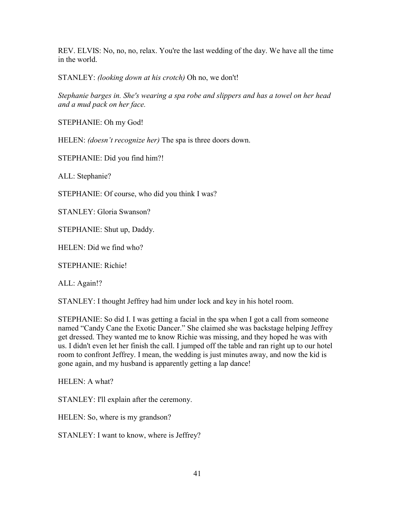REV. ELVIS: No, no, no, relax. You're the last wedding of the day. We have all the time in the world.

STANLEY: *(looking down at his crotch)* Oh no, we don't!

*Stephanie barges in. She's wearing a spa robe and slippers and has a towel on her head and a mud pack on her face.* 

STEPHANIE: Oh my God!

HELEN: *(doesn't recognize her)* The spa is three doors down.

STEPHANIE: Did you find him?!

ALL: Stephanie?

STEPHANIE: Of course, who did you think I was?

STANLEY: Gloria Swanson?

STEPHANIE: Shut up, Daddy.

HELEN: Did we find who?

STEPHANIE: Richie!

ALL: Again!?

STANLEY: I thought Jeffrey had him under lock and key in his hotel room.

STEPHANIE: So did I. I was getting a facial in the spa when I got a call from someone named "Candy Cane the Exotic Dancer." She claimed she was backstage helping Jeffrey get dressed. They wanted me to know Richie was missing, and they hoped he was with us. I didn't even let her finish the call. I jumped off the table and ran right up to our hotel room to confront Jeffrey. I mean, the wedding is just minutes away, and now the kid is gone again, and my husband is apparently getting a lap dance!

HELEN: A what?

STANLEY: I'll explain after the ceremony.

HELEN: So, where is my grandson?

STANLEY: I want to know, where is Jeffrey?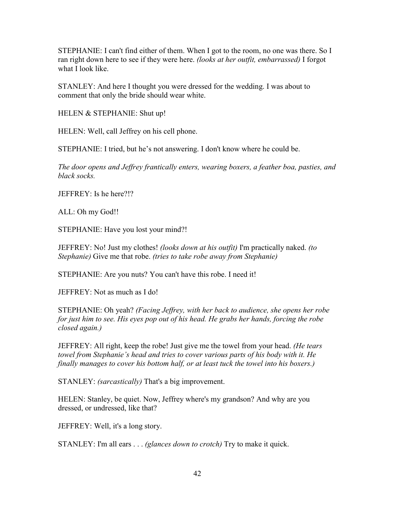STEPHANIE: I can't find either of them. When I got to the room, no one was there. So I ran right down here to see if they were here. *(looks at her outfit, embarrassed)* I forgot what I look like.

STANLEY: And here I thought you were dressed for the wedding. I was about to comment that only the bride should wear white.

HELEN & STEPHANIE: Shut up!

HELEN: Well, call Jeffrey on his cell phone.

STEPHANIE: I tried, but he's not answering. I don't know where he could be.

*The door opens and Jeffrey frantically enters, wearing boxers, a feather boa, pasties, and black socks.* 

JEFFREY: Is he here?!?

ALL: Oh my God!!

STEPHANIE: Have you lost your mind?!

JEFFREY: No! Just my clothes! *(looks down at his outfit)* I'm practically naked. *(to Stephanie)* Give me that robe. *(tries to take robe away from Stephanie)* 

STEPHANIE: Are you nuts? You can't have this robe. I need it!

JEFFREY: Not as much as I do!

STEPHANIE: Oh yeah? *(Facing Jeffrey, with her back to audience, she opens her robe for just him to see. His eyes pop out of his head. He grabs her hands, forcing the robe closed again.)* 

JEFFREY: All right, keep the robe! Just give me the towel from your head. *(He tears towel from Stephanie's head and tries to cover various parts of his body with it. He finally manages to cover his bottom half, or at least tuck the towel into his boxers.)* 

STANLEY: *(sarcastically)* That's a big improvement.

HELEN: Stanley, be quiet. Now, Jeffrey where's my grandson? And why are you dressed, or undressed, like that?

JEFFREY: Well, it's a long story.

STANLEY: I'm all ears . . . *(glances down to crotch)* Try to make it quick.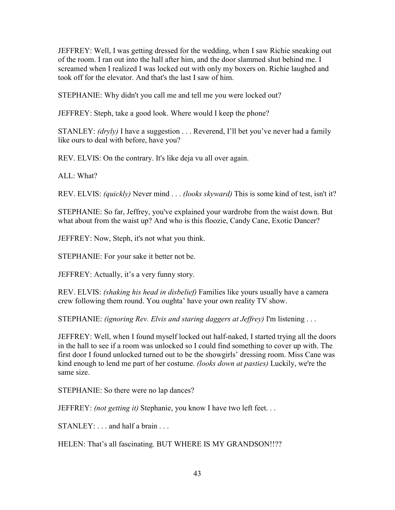JEFFREY: Well, I was getting dressed for the wedding, when I saw Richie sneaking out of the room. I ran out into the hall after him, and the door slammed shut behind me. I screamed when I realized I was locked out with only my boxers on. Richie laughed and took off for the elevator. And that's the last I saw of him.

STEPHANIE: Why didn't you call me and tell me you were locked out?

JEFFREY: Steph, take a good look. Where would I keep the phone?

STANLEY: *(dryly)* I have a suggestion . . . Reverend, I'll bet you've never had a family like ours to deal with before, have you?

REV. ELVIS: On the contrary. It's like deja vu all over again.

 $AI.$ : What?

REV. ELVIS: *(quickly)* Never mind . . . *(looks skyward)* This is some kind of test, isn't it?

STEPHANIE: So far, Jeffrey, you've explained your wardrobe from the waist down. But what about from the waist up? And who is this floozie, Candy Cane, Exotic Dancer?

JEFFREY: Now, Steph, it's not what you think.

STEPHANIE: For your sake it better not be.

JEFFREY: Actually, it's a very funny story.

REV. ELVIS: *(shaking his head in disbelief)* Families like yours usually have a camera crew following them round. You oughta' have your own reality TV show.

STEPHANIE: *(ignoring Rev. Elvis and staring daggers at Jeffrey)* I'm listening . . .

JEFFREY: Well, when I found myself locked out half-naked, I started trying all the doors in the hall to see if a room was unlocked so I could find something to cover up with. The first door I found unlocked turned out to be the showgirls' dressing room. Miss Cane was kind enough to lend me part of her costume. *(looks down at pasties)* Luckily, we're the same size.

STEPHANIE: So there were no lap dances?

JEFFREY: *(not getting it)* Stephanie, you know I have two left feet. . .

 $STANLEY:$  ... and half a brain ...

HELEN: That's all fascinating. BUT WHERE IS MY GRANDSON!!??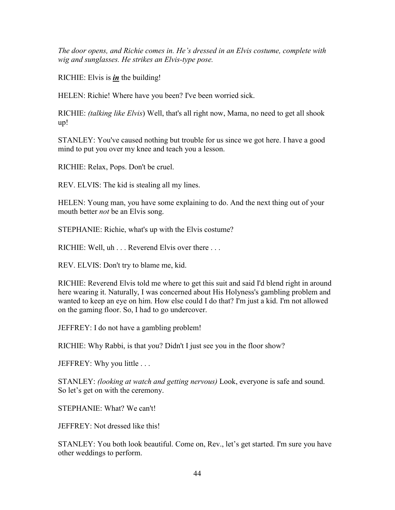*The door opens, and Richie comes in. He's dressed in an Elvis costume, complete with wig and sunglasses. He strikes an Elvis-type pose.* 

RICHIE: Elvis is *in* the building!

HELEN: Richie! Where have you been? I've been worried sick.

RICHIE: *(talking like Elvis*) Well, that's all right now, Mama, no need to get all shook up!

STANLEY: You've caused nothing but trouble for us since we got here. I have a good mind to put you over my knee and teach you a lesson.

RICHIE: Relax, Pops. Don't be cruel.

REV. ELVIS: The kid is stealing all my lines.

HELEN: Young man, you have some explaining to do. And the next thing out of your mouth better *not* be an Elvis song.

STEPHANIE: Richie, what's up with the Elvis costume?

RICHIE: Well, uh . . . Reverend Elvis over there . . .

REV. ELVIS: Don't try to blame me, kid.

RICHIE: Reverend Elvis told me where to get this suit and said I'd blend right in around here wearing it. Naturally, I was concerned about His Holyness's gambling problem and wanted to keep an eye on him. How else could I do that? I'm just a kid. I'm not allowed on the gaming floor. So, I had to go undercover.

JEFFREY: I do not have a gambling problem!

RICHIE: Why Rabbi, is that you? Didn't I just see you in the floor show?

JEFFREY: Why you little . . .

STANLEY: *(looking at watch and getting nervous)* Look, everyone is safe and sound. So let's get on with the ceremony.

STEPHANIE: What? We can't!

JEFFREY: Not dressed like this!

STANLEY: You both look beautiful. Come on, Rev., let's get started. I'm sure you have other weddings to perform.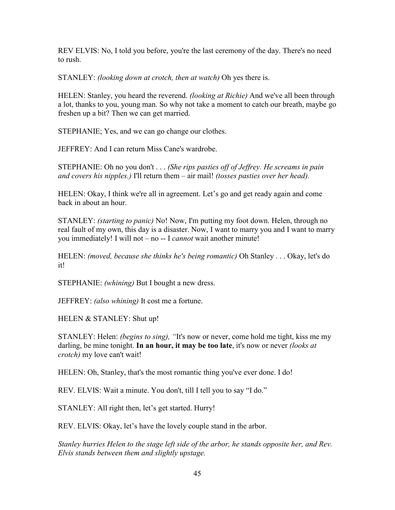REV ELVIS: No, I told you before, you're the last ceremony of the day. There's no need to rush.

STANLEY: *(looking down at crotch, then at watch)* Oh yes there is.

HELEN: Stanley, you heard the reverend. *(looking at Richie)* And we've all been through a lot, thanks to you, young man. So why not take a moment to catch our breath, maybe go freshen up a bit? Then we can get married.

STEPHANIE; Yes, and we can go change our clothes.

JEFFREY: And I can return Miss Cane's wardrobe.

STEPHANIE: Oh no you don't . . . *(She rips pasties off of Jeffrey. He screams in pain and covers his nipples.)* I'll return them – air mail! *(tosses pasties over her head).*

HELEN: Okay, I think we're all in agreement. Let's go and get ready again and come back in about an hour.

STANLEY: *(starting to panic)* No! Now, I'm putting my foot down. Helen, through no real fault of my own, this day is a disaster. Now, I want to marry you and I want to marry you immediately! I will not – no -- I *cannot* wait another minute!

HELEN: *(moved, because she thinks he's being romantic)* Oh Stanley . . . Okay, let's do it!

STEPHANIE: *(whining)* But I bought a new dress.

JEFFREY: *(also whining)* It cost me a fortune.

HELEN & STANLEY: Shut up!

STANLEY: Helen: *(begins to sing), "*It's now or never, come hold me tight, kiss me my darling, be mine tonight. **In an hour, it may be too late**, it's now or never *(looks at crotch)* my love can't wait!

HELEN: Oh, Stanley, that's the most romantic thing you've ever done. I do!

REV. ELVIS: Wait a minute. You don't, till I tell you to say "I do."

STANLEY: All right then, let's get started. Hurry!

REV. ELVIS: Okay, let's have the lovely couple stand in the arbor.

*Stanley hurries Helen to the stage left side of the arbor, he stands opposite her, and Rev. Elvis stands between them and slightly upstage.*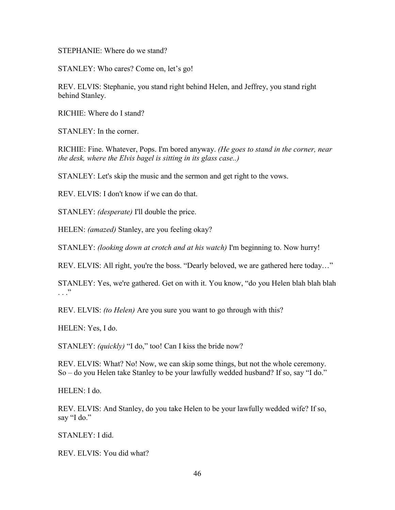STEPHANIE: Where do we stand?

STANLEY: Who cares? Come on, let's go!

REV. ELVIS: Stephanie, you stand right behind Helen, and Jeffrey, you stand right behind Stanley.

RICHIE: Where do I stand?

STANLEY: In the corner.

RICHIE: Fine. Whatever, Pops. I'm bored anyway. *(He goes to stand in the corner, near the desk, where the Elvis bagel is sitting in its glass case..)* 

STANLEY: Let's skip the music and the sermon and get right to the vows.

REV. ELVIS: I don't know if we can do that.

STANLEY: *(desperate)* I'll double the price.

HELEN: *(amazed)* Stanley, are you feeling okay?

STANLEY: *(looking down at crotch and at his watch)* I'm beginning to. Now hurry!

REV. ELVIS: All right, you're the boss. "Dearly beloved, we are gathered here today…"

STANLEY: Yes, we're gathered. Get on with it. You know, "do you Helen blah blah blah  $\cdot$  . . .  $\cdot$ 

REV. ELVIS: *(to Helen)* Are you sure you want to go through with this?

HELEN: Yes, I do.

STANLEY: *(quickly)* "I do," too! Can I kiss the bride now?

REV. ELVIS: What? No! Now, we can skip some things, but not the whole ceremony. So – do you Helen take Stanley to be your lawfully wedded husband? If so, say "I do."

HELEN: I do.

REV. ELVIS: And Stanley, do you take Helen to be your lawfully wedded wife? If so, say "I do."

STANLEY: I did.

REV. ELVIS: You did what?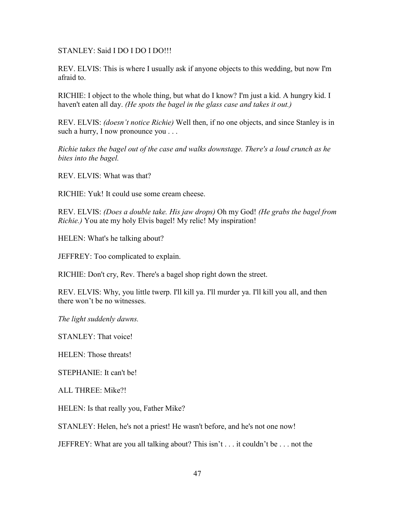STANLEY: Said I DO I DO I DO!!!

REV. ELVIS: This is where I usually ask if anyone objects to this wedding, but now I'm afraid to.

RICHIE: I object to the whole thing, but what do I know? I'm just a kid. A hungry kid. I haven't eaten all day. *(He spots the bagel in the glass case and takes it out.)*

REV. ELVIS: *(doesn't notice Richie)* Well then, if no one objects, and since Stanley is in such a hurry, I now pronounce you . . .

*Richie takes the bagel out of the case and walks downstage. There's a loud crunch as he bites into the bagel.* 

REV. ELVIS: What was that?

RICHIE: Yuk! It could use some cream cheese.

REV. ELVIS: *(Does a double take. His jaw drops)* Oh my God! *(He grabs the bagel from Richie.)* You ate my holy Elvis bagel! My relic! My inspiration!

HELEN: What's he talking about?

JEFFREY: Too complicated to explain.

RICHIE: Don't cry, Rev. There's a bagel shop right down the street.

REV. ELVIS: Why, you little twerp. I'll kill ya. I'll murder ya. I'll kill you all, and then there won't be no witnesses.

*The light suddenly dawns.* 

STANLEY: That voice!

HELEN: Those threats!

STEPHANIE: It can't be!

ALL THREE: Mike?!

HELEN: Is that really you, Father Mike?

STANLEY: Helen, he's not a priest! He wasn't before, and he's not one now!

JEFFREY: What are you all talking about? This isn't . . . it couldn't be . . . not the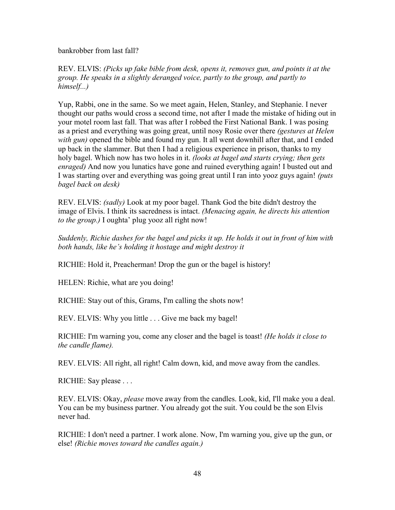bankrobber from last fall?

REV. ELVIS: *(Picks up fake bible from desk, opens it, removes gun, and points it at the group. He speaks in a slightly deranged voice, partly to the group, and partly to himself...)* 

Yup, Rabbi, one in the same. So we meet again, Helen, Stanley, and Stephanie. I never thought our paths would cross a second time, not after I made the mistake of hiding out in your motel room last fall. That was after I robbed the First National Bank. I was posing as a priest and everything was going great, until nosy Rosie over there *(gestures at Helen with gun)* opened the bible and found my gun. It all went downhill after that, and I ended up back in the slammer. But then I had a religious experience in prison, thanks to my holy bagel. Which now has two holes in it. *(looks at bagel and starts crying; then gets enraged)* And now you lunatics have gone and ruined everything again! I busted out and I was starting over and everything was going great until I ran into yooz guys again! *(puts bagel back on desk)* 

REV. ELVIS: *(sadly)* Look at my poor bagel. Thank God the bite didn't destroy the image of Elvis. I think its sacredness is intact. *(Menacing again, he directs his attention to the group.)* I oughta' plug yooz all right now!

*Suddenly, Richie dashes for the bagel and picks it up. He holds it out in front of him with both hands, like he's holding it hostage and might destroy it* 

RICHIE: Hold it, Preacherman! Drop the gun or the bagel is history!

HELEN: Richie, what are you doing!

RICHIE: Stay out of this, Grams, I'm calling the shots now!

REV. ELVIS: Why you little . . . Give me back my bagel!

RICHIE: I'm warning you, come any closer and the bagel is toast! *(He holds it close to the candle flame).* 

REV. ELVIS: All right, all right! Calm down, kid, and move away from the candles.

RICHIE: Say please . . .

REV. ELVIS: Okay, *please* move away from the candles. Look, kid, I'll make you a deal. You can be my business partner. You already got the suit. You could be the son Elvis never had.

RICHIE: I don't need a partner. I work alone. Now, I'm warning you, give up the gun, or else! *(Richie moves toward the candles again.)*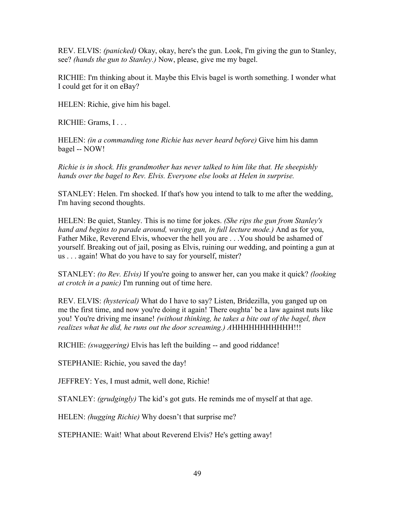REV. ELVIS: *(panicked)* Okay, okay, here's the gun. Look, I'm giving the gun to Stanley, see? *(hands the gun to Stanley.)* Now, please, give me my bagel.

RICHIE: I'm thinking about it. Maybe this Elvis bagel is worth something. I wonder what I could get for it on eBay?

HELEN: Richie, give him his bagel.

RICHIE: Grams, I . . .

HELEN: *(in a commanding tone Richie has never heard before)* Give him his damn bagel -- NOW!

*Richie is in shock. His grandmother has never talked to him like that. He sheepishly hands over the bagel to Rev. Elvis. Everyone else looks at Helen in surprise.* 

STANLEY: Helen. I'm shocked. If that's how you intend to talk to me after the wedding, I'm having second thoughts.

HELEN: Be quiet, Stanley. This is no time for jokes. *(She rips the gun from Stanley's hand and begins to parade around, waving gun, in full lecture mode.)* And as for you, Father Mike, Reverend Elvis, whoever the hell you are . . .You should be ashamed of yourself. Breaking out of jail, posing as Elvis, ruining our wedding, and pointing a gun at us . . . again! What do you have to say for yourself, mister?

STANLEY: *(to Rev. Elvis)* If you're going to answer her, can you make it quick? *(looking at crotch in a panic)* I'm running out of time here.

REV. ELVIS: *(hysterical)* What do I have to say? Listen, Bridezilla, you ganged up on me the first time, and now you're doing it again! There oughta' be a law against nuts like you! You're driving me insane! *(without thinking, he takes a bite out of the bagel, then realizes what he did, he runs out the door screaming.) A*HHHHHHHHHHH!!!

RICHIE: *(swaggering)* Elvis has left the building -- and good riddance!

STEPHANIE: Richie, you saved the day!

JEFFREY: Yes, I must admit, well done, Richie!

STANLEY: *(grudgingly)* The kid's got guts. He reminds me of myself at that age.

HELEN: *(hugging Richie)* Why doesn't that surprise me?

STEPHANIE: Wait! What about Reverend Elvis? He's getting away!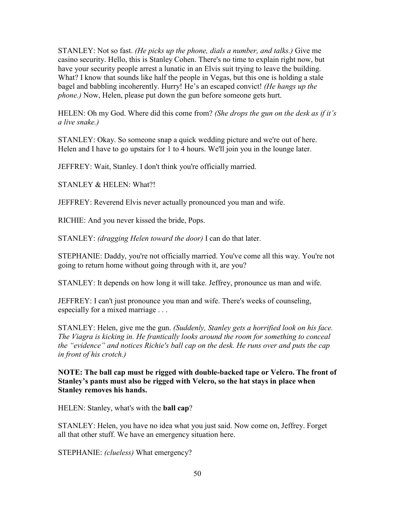STANLEY: Not so fast. *(He picks up the phone, dials a number, and talks.)* Give me casino security. Hello, this is Stanley Cohen. There's no time to explain right now, but have your security people arrest a lunatic in an Elvis suit trying to leave the building. What? I know that sounds like half the people in Vegas, but this one is holding a stale bagel and babbling incoherently. Hurry! He's an escaped convict! *(He hangs up the phone.)* Now, Helen, please put down the gun before someone gets hurt.

HELEN: Oh my God. Where did this come from? *(She drops the gun on the desk as if it's a live snake.)* 

STANLEY: Okay. So someone snap a quick wedding picture and we're out of here. Helen and I have to go upstairs for 1 to 4 hours. We'll join you in the lounge later.

JEFFREY: Wait, Stanley. I don't think you're officially married.

STANLEY & HELEN: What?!

JEFFREY: Reverend Elvis never actually pronounced you man and wife.

RICHIE: And you never kissed the bride, Pops.

STANLEY: *(dragging Helen toward the door)* I can do that later.

STEPHANIE: Daddy, you're not officially married. You've come all this way. You're not going to return home without going through with it, are you?

STANLEY: It depends on how long it will take. Jeffrey, pronounce us man and wife.

JEFFREY: I can't just pronounce you man and wife. There's weeks of counseling, especially for a mixed marriage . . .

STANLEY: Helen, give me the gun. *(Suddenly, Stanley gets a horrified look on his face. The Viagra is kicking in. He frantically looks around the room for something to conceal the "evidence" and notices Richie's ball cap on the desk. He runs over and puts the cap in front of his crotch.)* 

**NOTE: The ball cap must be rigged with double-backed tape or Velcro. The front of Stanley's pants must also be rigged with Velcro, so the hat stays in place when Stanley removes his hands.** 

HELEN: Stanley, what's with the **ball cap**?

STANLEY: Helen, you have no idea what you just said. Now come on, Jeffrey. Forget all that other stuff. We have an emergency situation here.

STEPHANIE: *(clueless)* What emergency?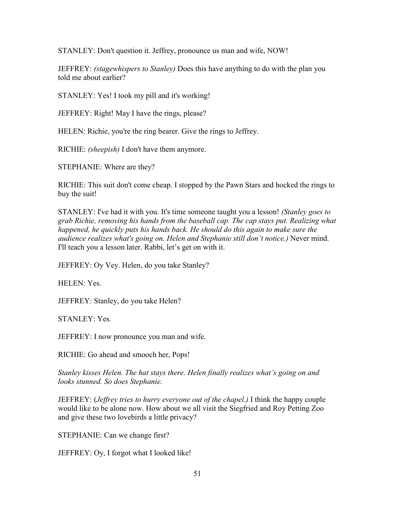STANLEY: Don't question it. Jeffrey, pronounce us man and wife, NOW!

JEFFREY: *(stagewhispers to Stanley)* Does this have anything to do with the plan you told me about earlier?

STANLEY: Yes! I took my pill and it's working!

JEFFREY: Right! May I have the rings, please?

HELEN: Richie, you're the ring bearer. Give the rings to Jeffrey.

RICHIE: *(sheepish)* I don't have them anymore.

STEPHANIE: Where are they?

RICHIE: This suit don't come cheap. I stopped by the Pawn Stars and hocked the rings to buy the suit!

STANLEY: I've had it with you. It's time someone taught you a lesson! *(Stanley goes to grab Richie, removing his hands from the baseball cap. The cap stays put. Realizing what happened, he quickly puts his hands back. He should do this again to make sure the audience realizes what's going on. Helen and Stephanie still don't notice.)* Never mind. I'll teach you a lesson later. Rabbi, let's get on with it.

JEFFREY: Oy Vey. Helen, do you take Stanley?

HELEN: Yes.

JEFFREY: Stanley, do you take Helen?

STANLEY: Yes.

JEFFREY: I now pronounce you man and wife.

RICHIE: Go ahead and smooch her, Pops!

*Stanley kisses Helen. The hat stays there. Helen finally realizes what's going on and looks stunned. So does Stephanie.* 

JEFFREY: (*Jeffrey tries to hurry everyone out of the chapel.)* I think the happy couple would like to be alone now. How about we all visit the Siegfried and Roy Petting Zoo and give these two lovebirds a little privacy?

STEPHANIE: Can we change first?

JEFFREY: Oy, I forgot what I looked like!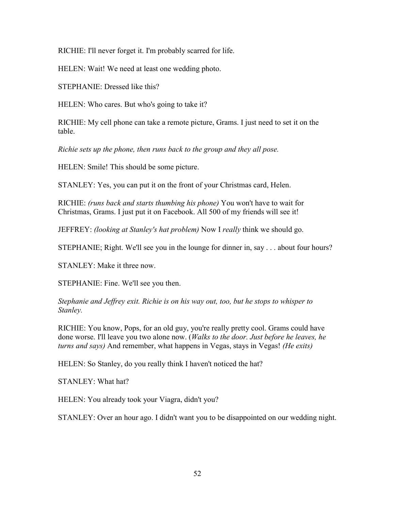RICHIE: I'll never forget it. I'm probably scarred for life.

HELEN: Wait! We need at least one wedding photo.

STEPHANIE: Dressed like this?

HELEN: Who cares. But who's going to take it?

RICHIE: My cell phone can take a remote picture, Grams. I just need to set it on the table.

*Richie sets up the phone, then runs back to the group and they all pose.* 

HELEN: Smile! This should be some picture.

STANLEY: Yes, you can put it on the front of your Christmas card, Helen.

RICHIE: *(runs back and starts thumbing his phone)* You won't have to wait for Christmas, Grams. I just put it on Facebook. All 500 of my friends will see it!

JEFFREY: *(looking at Stanley's hat problem)* Now I *really* think we should go.

STEPHANIE; Right. We'll see you in the lounge for dinner in, say . . . about four hours?

STANLEY: Make it three now.

STEPHANIE: Fine. We'll see you then.

*Stephanie and Jeffrey exit. Richie is on his way out, too, but he stops to whisper to Stanley.* 

RICHIE: You know, Pops, for an old guy, you're really pretty cool. Grams could have done worse. I'll leave you two alone now. (*Walks to the door. Just before he leaves, he turns and says)* And remember, what happens in Vegas, stays in Vegas! *(He exits)*

HELEN: So Stanley, do you really think I haven't noticed the hat?

STANLEY: What hat?

HELEN: You already took your Viagra, didn't you?

STANLEY: Over an hour ago. I didn't want you to be disappointed on our wedding night.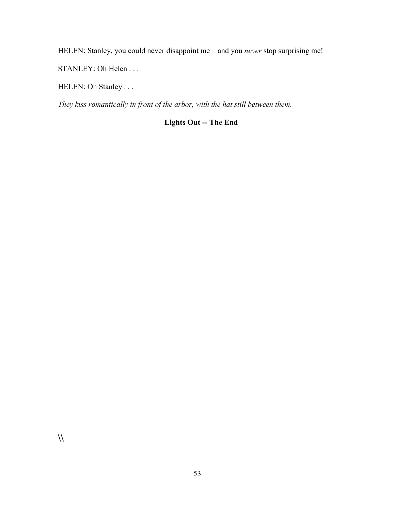HELEN: Stanley, you could never disappoint me – and you *never* stop surprising me!

STANLEY: Oh Helen . . .

HELEN: Oh Stanley . . .

*They kiss romantically in front of the arbor, with the hat still between them.* 

## **Lights Out -- The End**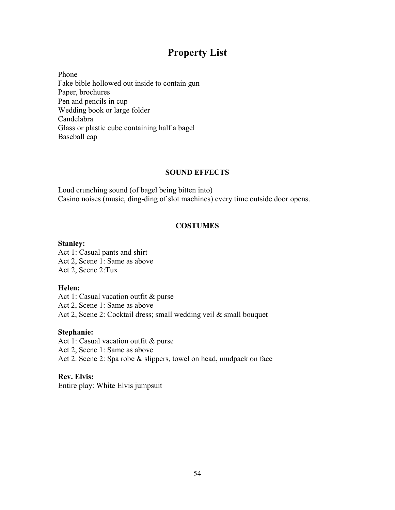## **Property List**

Phone Fake bible hollowed out inside to contain gun Paper, brochures Pen and pencils in cup Wedding book or large folder Candelabra Glass or plastic cube containing half a bagel Baseball cap

#### **SOUND EFFECTS**

Loud crunching sound (of bagel being bitten into) Casino noises (music, ding-ding of slot machines) every time outside door opens.

#### **COSTUMES**

#### **Stanley:**

Act 1: Casual pants and shirt Act 2, Scene 1: Same as above Act 2, Scene 2:Tux

#### **Helen:**

Act 1: Casual vacation outfit & purse Act 2, Scene 1: Same as above Act 2, Scene 2: Cocktail dress; small wedding veil & small bouquet

#### **Stephanie:**

Act 1: Casual vacation outfit & purse Act 2, Scene 1: Same as above Act 2. Scene 2: Spa robe & slippers, towel on head, mudpack on face

#### **Rev. Elvis:**

Entire play: White Elvis jumpsuit